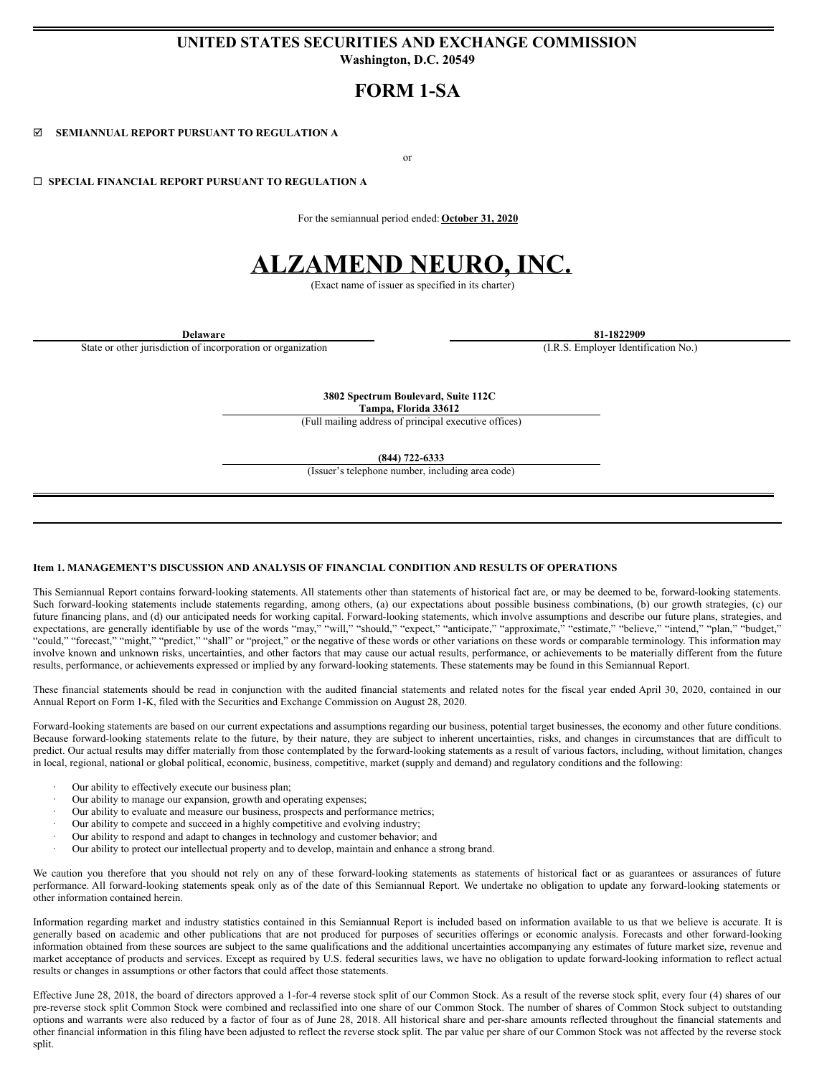## **UNITED STATES SECURITIES AND EXCHANGE COMMISSION Washington, D.C. 20549**

# **FORM 1-SA**

þ **SEMIANNUAL REPORT PURSUANT TO REGULATION A**

or

¨ **SPECIAL FINANCIAL REPORT PURSUANT TO REGULATION A**

For the semiannual period ended: **October 31, 2020**

# **ALZAMEND NEURO, INC.**

(Exact name of issuer as specified in its charter)

State or other jurisdiction of incorporation or organization (I.R.S. Employer Identification No.)

**Delaware 81-1822909**

**3802 Spectrum Boulevard, Suite 112C Tampa, Florida 33612**

(Full mailing address of principal executive offices)

**(844) 722-6333**

(Issuer's telephone number, including area code)

#### **Item 1. MANAGEMENT'S DISCUSSION AND ANALYSIS OF FINANCIAL CONDITION AND RESULTS OF OPERATIONS**

This Semiannual Report contains forward-looking statements. All statements other than statements of historical fact are, or may be deemed to be, forward-looking statements. Such forward-looking statements include statements regarding, among others, (a) our expectations about possible business combinations, (b) our growth strategies, (c) our future financing plans, and (d) our anticipated needs for working capital. Forward-looking statements, which involve assumptions and describe our future plans, strategies, and expectations, are generally identifiable by use of the words "may," "will," "should," "expect," "anticipate," "approximate," "estimate," "believe," "intend," "plan," "budget," "could," "forecast," "might," "predict," "shall" or "project," or the negative of these words or other variations on these words or comparable terminology. This information may involve known and unknown risks, uncertainties, and other factors that may cause our actual results, performance, or achievements to be materially different from the future results, performance, or achievements expressed or implied by any forward-looking statements. These statements may be found in this Semiannual Report.

These financial statements should be read in conjunction with the audited financial statements and related notes for the fiscal year ended April 30, 2020, contained in our Annual Report on Form 1-K, filed with the Securities and Exchange Commission on August 28, 2020.

Forward-looking statements are based on our current expectations and assumptions regarding our business, potential target businesses, the economy and other future conditions. Because forward-looking statements relate to the future, by their nature, they are subject to inherent uncertainties, risks, and changes in circumstances that are difficult to predict. Our actual results may differ materially from those contemplated by the forward-looking statements as a result of various factors, including, without limitation, changes in local, regional, national or global political, economic, business, competitive, market (supply and demand) and regulatory conditions and the following:

- Our ability to effectively execute our business plan;
- Our ability to manage our expansion, growth and operating expenses;
- Our ability to evaluate and measure our business, prospects and performance metrics;
- Our ability to compete and succeed in a highly competitive and evolving industry;
- Our ability to respond and adapt to changes in technology and customer behavior; and
- · Our ability to protect our intellectual property and to develop, maintain and enhance a strong brand.

We caution you therefore that you should not rely on any of these forward-looking statements as statements of historical fact or as guarantees or assurances of future performance. All forward-looking statements speak only as of the date of this Semiannual Report. We undertake no obligation to update any forward-looking statements or other information contained herein.

Information regarding market and industry statistics contained in this Semiannual Report is included based on information available to us that we believe is accurate. It is generally based on academic and other publications that are not produced for purposes of securities offerings or economic analysis. Forecasts and other forward-looking information obtained from these sources are subject to the same qualifications and the additional uncertainties accompanying any estimates of future market size, revenue and market acceptance of products and services. Except as required by U.S. federal securities laws, we have no obligation to update forward-looking information to reflect actual results or changes in assumptions or other factors that could affect those statements.

Effective June 28, 2018, the board of directors approved a 1-for-4 reverse stock split of our Common Stock. As a result of the reverse stock split, every four (4) shares of our pre-reverse stock split Common Stock were combined and reclassified into one share of our Common Stock. The number of shares of Common Stock subject to outstanding options and warrants were also reduced by a factor of four as of June 28, 2018. All historical share and per-share amounts reflected throughout the financial statements and other financial information in this filing have been adjusted to reflect the reverse stock split. The par value per share of our Common Stock was not affected by the reverse stock split.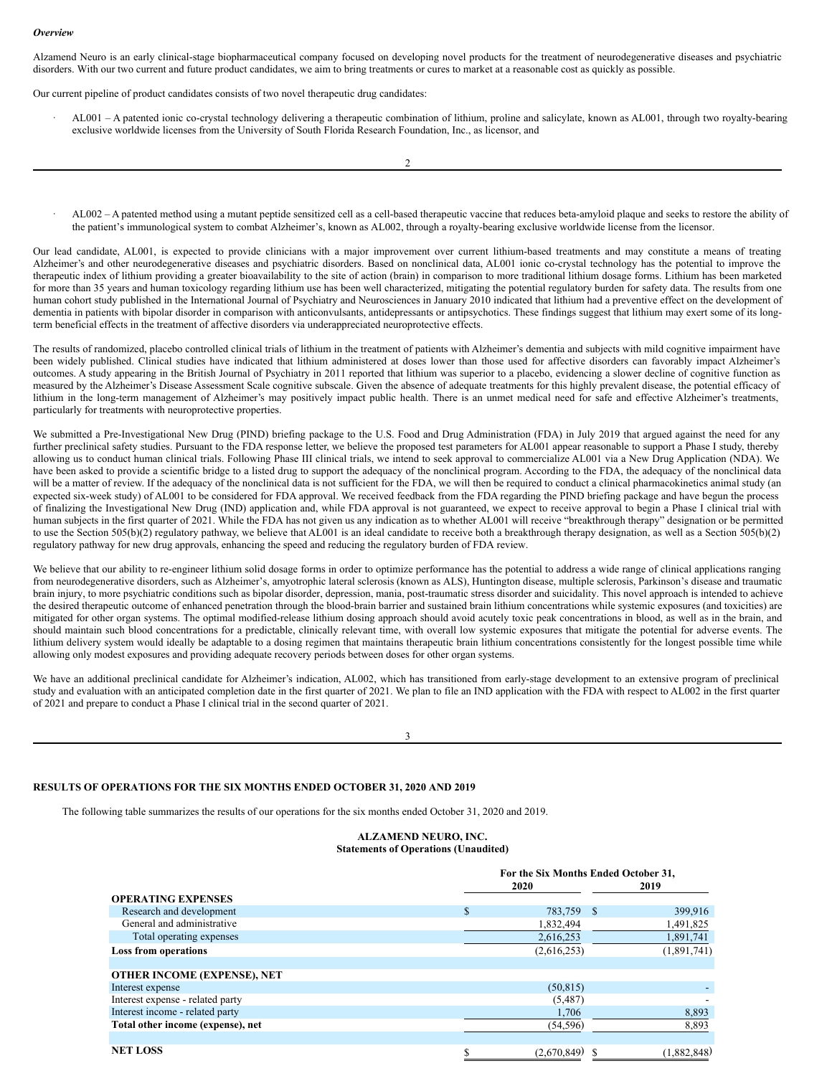#### *Overview*

Alzamend Neuro is an early clinical-stage biopharmaceutical company focused on developing novel products for the treatment of neurodegenerative diseases and psychiatric disorders. With our two current and future product candidates, we aim to bring treatments or cures to market at a reasonable cost as quickly as possible.

Our current pipeline of product candidates consists of two novel therapeutic drug candidates:

· AL001 – A patented ionic co-crystal technology delivering a therapeutic combination of lithium, proline and salicylate, known as AL001, through two royalty-bearing exclusive worldwide licenses from the University of South Florida Research Foundation, Inc., as licensor, and

· AL002 – A patented method using a mutant peptide sensitized cell as a cell-based therapeutic vaccine that reduces beta-amyloid plaque and seeks to restore the ability of the patient's immunological system to combat Alzheimer's, known as AL002, through a royalty-bearing exclusive worldwide license from the licensor.

Our lead candidate, AL001, is expected to provide clinicians with a major improvement over current lithium-based treatments and may constitute a means of treating Alzheimer's and other neurodegenerative diseases and psychiatric disorders. Based on nonclinical data, AL001 ionic co-crystal technology has the potential to improve the therapeutic index of lithium providing a greater bioavailability to the site of action (brain) in comparison to more traditional lithium dosage forms. Lithium has been marketed for more than 35 years and human toxicology regarding lithium use has been well characterized, mitigating the potential regulatory burden for safety data. The results from one human cohort study published in the International Journal of Psychiatry and Neurosciences in January 2010 indicated that lithium had a preventive effect on the development of dementia in patients with bipolar disorder in comparison with anticonvulsants, antidepressants or antipsychotics. These findings suggest that lithium may exert some of its longterm beneficial effects in the treatment of affective disorders via underappreciated neuroprotective effects.

The results of randomized, placebo controlled clinical trials of lithium in the treatment of patients with Alzheimer's dementia and subjects with mild cognitive impairment have been widely published. Clinical studies have indicated that lithium administered at doses lower than those used for affective disorders can favorably impact Alzheimer's outcomes. A study appearing in the British Journal of Psychiatry in 2011 reported that lithium was superior to a placebo, evidencing a slower decline of cognitive function as measured by the Alzheimer's Disease Assessment Scale cognitive subscale. Given the absence of adequate treatments for this highly prevalent disease, the potential efficacy of lithium in the long-term management of Alzheimer's may positively impact public health. There is an unmet medical need for safe and effective Alzheimer's treatments, particularly for treatments with neuroprotective properties.

We submitted a Pre-Investigational New Drug (PIND) briefing package to the U.S. Food and Drug Administration (FDA) in July 2019 that argued against the need for any further preclinical safety studies. Pursuant to the FDA response letter, we believe the proposed test parameters for AL001 appear reasonable to support a Phase I study, thereby allowing us to conduct human clinical trials. Following Phase III clinical trials, we intend to seek approval to commercialize AL001 via a New Drug Application (NDA). We have been asked to provide a scientific bridge to a listed drug to support the adequacy of the nonclinical program. According to the FDA, the adequacy of the nonclinical data will be a matter of review. If the adequacy of the nonclinical data is not sufficient for the FDA, we will then be required to conduct a clinical pharmacokinetics animal study (an expected six-week study) of AL001 to be considered for FDA approval. We received feedback from the FDA regarding the PIND briefing package and have begun the process of finalizing the Investigational New Drug (IND) application and, while FDA approval is not guaranteed, we expect to receive approval to begin a Phase I clinical trial with human subjects in the first quarter of 2021. While the FDA has not given us any indication as to whether AL001 will receive "breakthrough therapy" designation or be permitted to use the Section 505(b)(2) regulatory pathway, we believe that AL001 is an ideal candidate to receive both a breakthrough therapy designation, as well as a Section 505(b)(2) regulatory pathway for new drug approvals, enhancing the speed and reducing the regulatory burden of FDA review.

We believe that our ability to re-engineer lithium solid dosage forms in order to optimize performance has the potential to address a wide range of clinical applications ranging from neurodegenerative disorders, such as Alzheimer's, amyotrophic lateral sclerosis (known as ALS), Huntington disease, multiple sclerosis, Parkinson's disease and traumatic brain injury, to more psychiatric conditions such as bipolar disorder, depression, mania, post-traumatic stress disorder and suicidality. This novel approach is intended to achieve the desired therapeutic outcome of enhanced penetration through the blood-brain barrier and sustained brain lithium concentrations while systemic exposures (and toxicities) are mitigated for other organ systems. The optimal modified-release lithium dosing approach should avoid acutely toxic peak concentrations in blood, as well as in the brain, and should maintain such blood concentrations for a predictable, clinically relevant time, with overall low systemic exposures that mitigate the potential for adverse events. The lithium delivery system would ideally be adaptable to a dosing regimen that maintains therapeutic brain lithium concentrations consistently for the longest possible time while allowing only modest exposures and providing adequate recovery periods between doses for other organ systems.

We have an additional preclinical candidate for Alzheimer's indication, AL002, which has transitioned from early-stage development to an extensive program of preclinical study and evaluation with an anticipated completion date in the first quarter of 2021. We plan to file an IND application with the FDA with respect to AL002 in the first quarter of 2021 and prepare to conduct a Phase I clinical trial in the second quarter of 2021.

3

### **RESULTS OF OPERATIONS FOR THE SIX MONTHS ENDED OCTOBER 31, 2020 AND 2019**

The following table summarizes the results of our operations for the six months ended October 31, 2020 and 2019.

| <b>ALZAMEND NEURO, INC.</b>                 |
|---------------------------------------------|
| <b>Statements of Operations (Unaudited)</b> |

|                                   | For the Six Months Ended October 31,<br>2020<br>2019 |             |  |             |
|-----------------------------------|------------------------------------------------------|-------------|--|-------------|
| <b>OPERATING EXPENSES</b>         |                                                      |             |  |             |
| Research and development          | S                                                    | 783,759 \$  |  | 399,916     |
| General and administrative        |                                                      | 1,832,494   |  | 1,491,825   |
| Total operating expenses          |                                                      | 2,616,253   |  | 1,891,741   |
| <b>Loss from operations</b>       |                                                      | (2,616,253) |  | (1,891,741) |
|                                   |                                                      |             |  |             |
| OTHER INCOME (EXPENSE), NET       |                                                      |             |  |             |
| Interest expense                  |                                                      | (50, 815)   |  |             |
| Interest expense - related party  |                                                      | (5,487)     |  |             |
| Interest income - related party   |                                                      | 1,706       |  | 8,893       |
| Total other income (expense), net |                                                      | (54, 596)   |  | 8,893       |
|                                   |                                                      |             |  |             |
| <b>NET LOSS</b>                   |                                                      | (2,670,849) |  | (1,882,848) |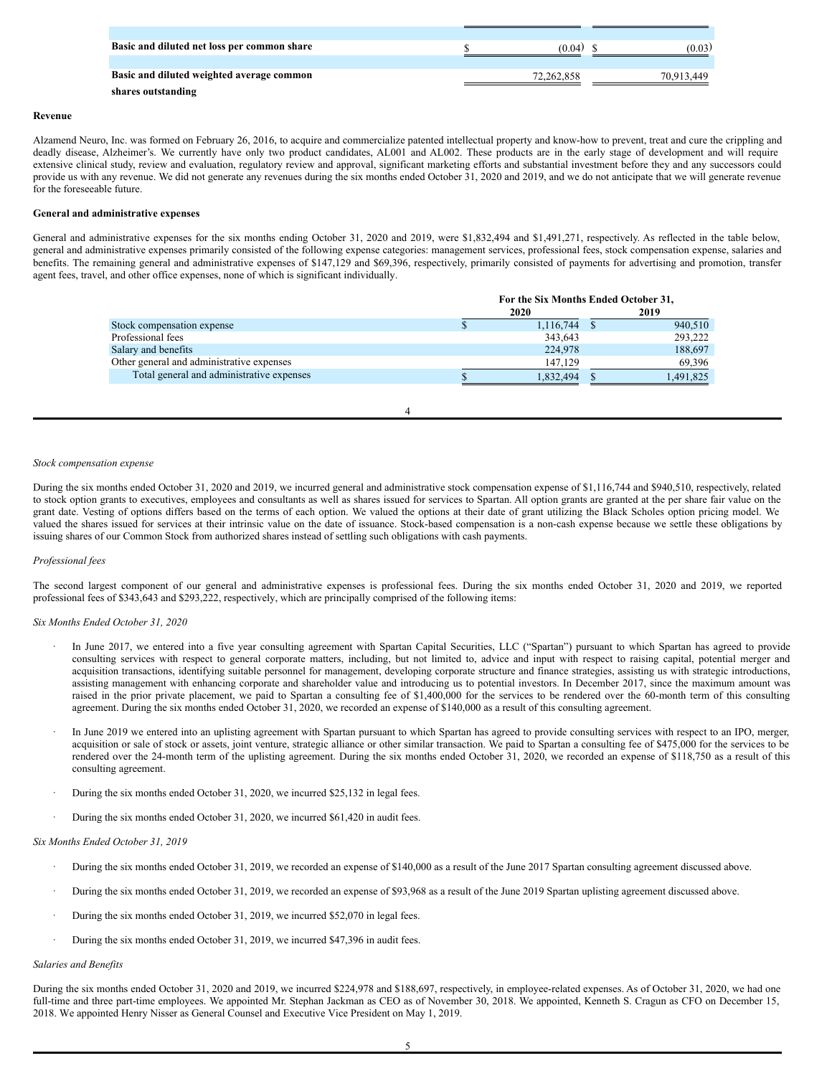| Basic and diluted net loss per common share | (0.04)     | (0.03)     |
|---------------------------------------------|------------|------------|
|                                             |            |            |
| Basic and diluted weighted average common   | 72.262.858 | 70,913,449 |
| shares outstanding                          |            |            |

#### **Revenue**

Alzamend Neuro, Inc. was formed on February 26, 2016, to acquire and commercialize patented intellectual property and know-how to prevent, treat and cure the crippling and deadly disease, Alzheimer's. We currently have only two product candidates, AL001 and AL002. These products are in the early stage of development and will require extensive clinical study, review and evaluation, regulatory review and approval, significant marketing efforts and substantial investment before they and any successors could provide us with any revenue. We did not generate any revenues during the six months ended October 31, 2020 and 2019, and we do not anticipate that we will generate revenue for the foreseeable future.

#### **General and administrative expenses**

General and administrative expenses for the six months ending October 31, 2020 and 2019, were \$1,832,494 and \$1,491,271, respectively. As reflected in the table below, general and administrative expenses primarily consisted of the following expense categories: management services, professional fees, stock compensation expense, salaries and benefits. The remaining general and administrative expenses of \$147,129 and \$69,396, respectively, primarily consisted of payments for advertising and promotion, transfer agent fees, travel, and other office expenses, none of which is significant individually.

| For the Six Months Ended October 31, |  |  |
|--------------------------------------|--|--|
|                                      |  |  |
| 940,510                              |  |  |
| 293,222                              |  |  |
| 188,697                              |  |  |
| 69,396                               |  |  |
| 1,491,825                            |  |  |
|                                      |  |  |

4

#### *Stock compensation expense*

During the six months ended October 31, 2020 and 2019, we incurred general and administrative stock compensation expense of \$1,116,744 and \$940,510, respectively, related to stock option grants to executives, employees and consultants as well as shares issued for services to Spartan. All option grants are granted at the per share fair value on the grant date. Vesting of options differs based on the terms of each option. We valued the options at their date of grant utilizing the Black Scholes option pricing model. We valued the shares issued for services at their intrinsic value on the date of issuance. Stock-based compensation is a non-cash expense because we settle these obligations by issuing shares of our Common Stock from authorized shares instead of settling such obligations with cash payments.

#### *Professional fees*

The second largest component of our general and administrative expenses is professional fees. During the six months ended October 31, 2020 and 2019, we reported professional fees of \$343,643 and \$293,222, respectively, which are principally comprised of the following items:

#### *Six Months Ended October 31, 2020*

- In June 2017, we entered into a five year consulting agreement with Spartan Capital Securities, LLC ("Spartan") pursuant to which Spartan has agreed to provide consulting services with respect to general corporate matters, including, but not limited to, advice and input with respect to raising capital, potential merger and acquisition transactions, identifying suitable personnel for management, developing corporate structure and finance strategies, assisting us with strategic introductions, assisting management with enhancing corporate and shareholder value and introducing us to potential investors. In December 2017, since the maximum amount was raised in the prior private placement, we paid to Spartan a consulting fee of \$1,400,000 for the services to be rendered over the 60-month term of this consulting agreement. During the six months ended October 31, 2020, we recorded an expense of \$140,000 as a result of this consulting agreement.
- In June 2019 we entered into an uplisting agreement with Spartan pursuant to which Spartan has agreed to provide consulting services with respect to an IPO, merger, acquisition or sale of stock or assets, joint venture, strategic alliance or other similar transaction. We paid to Spartan a consulting fee of \$475,000 for the services to be rendered over the 24-month term of the uplisting agreement. During the six months ended October 31, 2020, we recorded an expense of \$118,750 as a result of this consulting agreement.
- During the six months ended October 31, 2020, we incurred \$25,132 in legal fees.
- During the six months ended October 31, 2020, we incurred \$61,420 in audit fees.

#### *Six Months Ended October 31, 2019*

- · During the six months ended October 31, 2019, we recorded an expense of \$140,000 as a result of the June 2017 Spartan consulting agreement discussed above.
- · During the six months ended October 31, 2019, we recorded an expense of \$93,968 as a result of the June 2019 Spartan uplisting agreement discussed above.
- During the six months ended October 31, 2019, we incurred \$52,070 in legal fees.
- During the six months ended October 31, 2019, we incurred \$47,396 in audit fees.

#### *Salaries and Benefits*

During the six months ended October 31, 2020 and 2019, we incurred \$224,978 and \$188,697, respectively, in employee-related expenses. As of October 31, 2020, we had one full-time and three part-time employees. We appointed Mr. Stephan Jackman as CEO as of November 30, 2018. We appointed, Kenneth S. Cragun as CFO on December 15, 2018. We appointed Henry Nisser as General Counsel and Executive Vice President on May 1, 2019.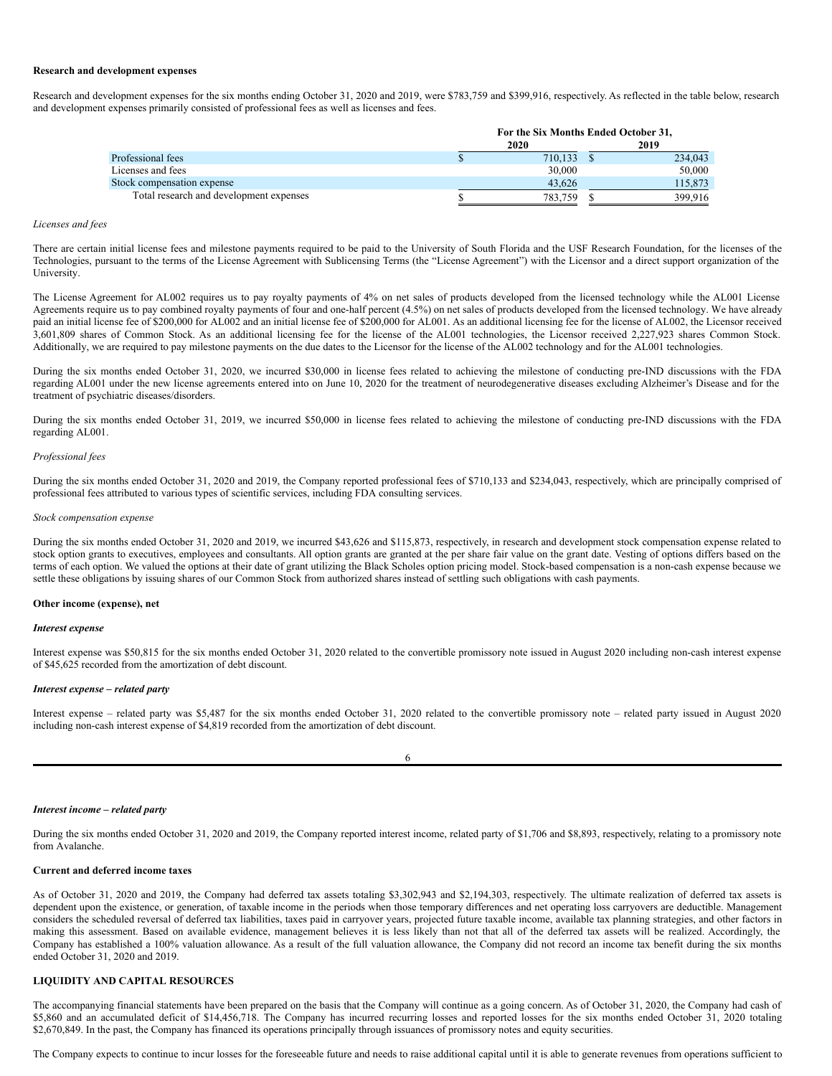#### **Research and development expenses**

Research and development expenses for the six months ending October 31, 2020 and 2019, were \$783,759 and \$399,916, respectively. As reflected in the table below, research and development expenses primarily consisted of professional fees as well as licenses and fees.

|                                         | For the Six Months Ended October 31, |  |         |
|-----------------------------------------|--------------------------------------|--|---------|
|                                         | 2020                                 |  | 2019    |
| Professional fees                       | 710,133                              |  | 234,043 |
| Licenses and fees                       | 30,000                               |  | 50,000  |
| Stock compensation expense              | 43.626                               |  | 115.873 |
| Total research and development expenses | 783.759                              |  | 399.916 |

#### *Licenses and fees*

There are certain initial license fees and milestone payments required to be paid to the University of South Florida and the USF Research Foundation, for the licenses of the Technologies, pursuant to the terms of the License Agreement with Sublicensing Terms (the "License Agreement") with the Licensor and a direct support organization of the University.

The License Agreement for AL002 requires us to pay royalty payments of 4% on net sales of products developed from the licensed technology while the AL001 License Agreements require us to pay combined royalty payments of four and one-half percent (4.5%) on net sales of products developed from the licensed technology. We have already paid an initial license fee of \$200,000 for AL002 and an initial license fee of \$200,000 for AL001. As an additional licensing fee for the license of AL002, the Licensor received 3,601,809 shares of Common Stock. As an additional licensing fee for the license of the AL001 technologies, the Licensor received 2,227,923 shares Common Stock. Additionally, we are required to pay milestone payments on the due dates to the Licensor for the license of the AL002 technology and for the AL001 technologies.

During the six months ended October 31, 2020, we incurred \$30,000 in license fees related to achieving the milestone of conducting pre-IND discussions with the FDA regarding AL001 under the new license agreements entered into on June 10, 2020 for the treatment of neurodegenerative diseases excluding Alzheimer's Disease and for the treatment of psychiatric diseases/disorders.

During the six months ended October 31, 2019, we incurred \$50,000 in license fees related to achieving the milestone of conducting pre-IND discussions with the FDA regarding AL001.

#### *Professional fees*

During the six months ended October 31, 2020 and 2019, the Company reported professional fees of \$710,133 and \$234,043, respectively, which are principally comprised of professional fees attributed to various types of scientific services, including FDA consulting services.

#### *Stock compensation expense*

During the six months ended October 31, 2020 and 2019, we incurred \$43,626 and \$115,873, respectively, in research and development stock compensation expense related to stock option grants to executives, employees and consultants. All option grants are granted at the per share fair value on the grant date. Vesting of options differs based on the terms of each option. We valued the options at their date of grant utilizing the Black Scholes option pricing model. Stock-based compensation is a non-cash expense because we settle these obligations by issuing shares of our Common Stock from authorized shares instead of settling such obligations with cash payments.

#### **Other income (expense), net**

#### *Interest expense*

Interest expense was \$50,815 for the six months ended October 31, 2020 related to the convertible promissory note issued in August 2020 including non-cash interest expense of \$45,625 recorded from the amortization of debt discount.

#### *Interest expense – related party*

Interest expense – related party was \$5,487 for the six months ended October 31, 2020 related to the convertible promissory note – related party issued in August 2020 including non-cash interest expense of \$4,819 recorded from the amortization of debt discount.

| I<br>I<br>×<br>٧ |
|------------------|

#### *Interest income – related party*

During the six months ended October 31, 2020 and 2019, the Company reported interest income, related party of \$1,706 and \$8,893, respectively, relating to a promissory note from Avalanche.

#### **Current and deferred income taxes**

As of October 31, 2020 and 2019, the Company had deferred tax assets totaling \$3,302,943 and \$2,194,303, respectively. The ultimate realization of deferred tax assets is dependent upon the existence, or generation, of taxable income in the periods when those temporary differences and net operating loss carryovers are deductible. Management considers the scheduled reversal of deferred tax liabilities, taxes paid in carryover years, projected future taxable income, available tax planning strategies, and other factors in making this assessment. Based on available evidence, management believes it is less likely than not that all of the deferred tax assets will be realized. Accordingly, the Company has established a 100% valuation allowance. As a result of the full valuation allowance, the Company did not record an income tax benefit during the six months ended October 31, 2020 and 2019.

#### **LIQUIDITY AND CAPITAL RESOURCES**

The accompanying financial statements have been prepared on the basis that the Company will continue as a going concern. As of October 31, 2020, the Company had cash of \$5,860 and an accumulated deficit of \$14,456,718. The Company has incurred recurring losses and reported losses for the six months ended October 31, 2020 totaling \$2,670,849. In the past, the Company has financed its operations principally through issuances of promissory notes and equity securities.

The Company expects to continue to incur losses for the foreseeable future and needs to raise additional capital until it is able to generate revenues from operations sufficient to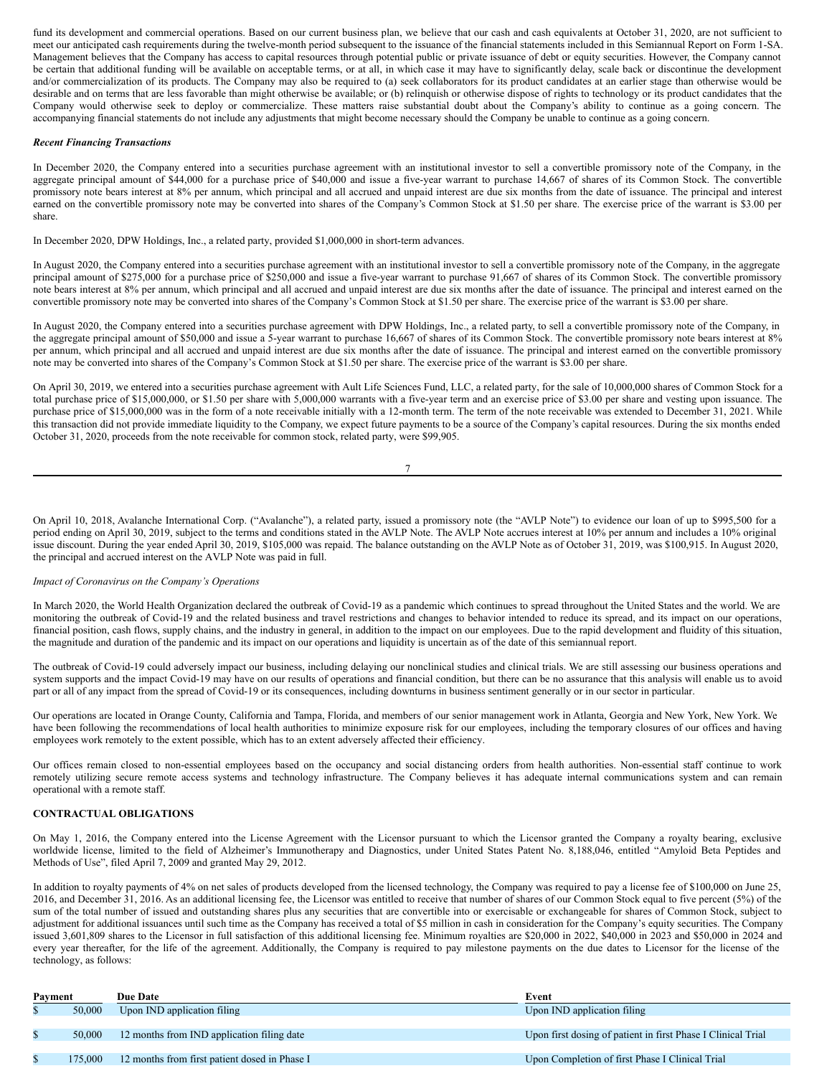fund its development and commercial operations. Based on our current business plan, we believe that our cash and cash equivalents at October 31, 2020, are not sufficient to meet our anticipated cash requirements during the twelve-month period subsequent to the issuance of the financial statements included in this Semiannual Report on Form 1-SA. Management believes that the Company has access to capital resources through potential public or private issuance of debt or equity securities. However, the Company cannot be certain that additional funding will be available on acceptable terms, or at all, in which case it may have to significantly delay, scale back or discontinue the development and/or commercialization of its products. The Company may also be required to (a) seek collaborators for its product candidates at an earlier stage than otherwise would be desirable and on terms that are less favorable than might otherwise be available; or (b) relinquish or otherwise dispose of rights to technology or its product candidates that the Company would otherwise seek to deploy or commercialize. These matters raise substantial doubt about the Company's ability to continue as a going concern. The accompanying financial statements do not include any adjustments that might become necessary should the Company be unable to continue as a going concern.

#### *Recent Financing Transactions*

In December 2020, the Company entered into a securities purchase agreement with an institutional investor to sell a convertible promissory note of the Company, in the aggregate principal amount of \$44,000 for a purchase price of \$40,000 and issue a five-year warrant to purchase 14,667 of shares of its Common Stock. The convertible promissory note bears interest at 8% per annum, which principal and all accrued and unpaid interest are due six months from the date of issuance. The principal and interest earned on the convertible promissory note may be converted into shares of the Company's Common Stock at \$1.50 per share. The exercise price of the warrant is \$3.00 per share.

In December 2020, DPW Holdings, Inc., a related party, provided \$1,000,000 in short-term advances.

In August 2020, the Company entered into a securities purchase agreement with an institutional investor to sell a convertible promissory note of the Company, in the aggregate principal amount of \$275,000 for a purchase price of \$250,000 and issue a five-year warrant to purchase 91,667 of shares of its Common Stock. The convertible promissory note bears interest at 8% per annum, which principal and all accrued and unpaid interest are due six months after the date of issuance. The principal and interest earned on the convertible promissory note may be converted into shares of the Company's Common Stock at \$1.50 per share. The exercise price of the warrant is \$3.00 per share.

In August 2020, the Company entered into a securities purchase agreement with DPW Holdings, Inc., a related party, to sell a convertible promissory note of the Company, in the aggregate principal amount of \$50,000 and issue a 5-year warrant to purchase 16,667 of shares of its Common Stock. The convertible promissory note bears interest at 8% per annum, which principal and all accrued and unpaid interest are due six months after the date of issuance. The principal and interest earned on the convertible promissory note may be converted into shares of the Company's Common Stock at \$1.50 per share. The exercise price of the warrant is \$3.00 per share.

On April 30, 2019, we entered into a securities purchase agreement with Ault Life Sciences Fund, LLC, a related party, for the sale of 10,000,000 shares of Common Stock for a total purchase price of \$15,000,000, or \$1.50 per share with 5,000,000 warrants with a five-year term and an exercise price of \$3.00 per share and vesting upon issuance. The purchase price of \$15,000,000 was in the form of a note receivable initially with a 12-month term. The term of the note receivable was extended to December 31, 2021. While this transaction did not provide immediate liquidity to the Company, we expect future payments to be a source of the Company's capital resources. During the six months ended October 31, 2020, proceeds from the note receivable for common stock, related party, were \$99,905.

On April 10, 2018, Avalanche International Corp. ("Avalanche"), a related party, issued a promissory note (the "AVLP Note") to evidence our loan of up to \$995,500 for a period ending on April 30, 2019, subject to the terms and conditions stated in the AVLP Note. The AVLP Note accrues interest at 10% per annum and includes a 10% original issue discount. During the year ended April 30, 2019, \$105,000 was repaid. The balance outstanding on the AVLP Note as of October 31, 2019, was \$100,915. In August 2020, the principal and accrued interest on the AVLP Note was paid in full.

### *Impact of Coronavirus on the Company's Operations*

In March 2020, the World Health Organization declared the outbreak of Covid-19 as a pandemic which continues to spread throughout the United States and the world. We are monitoring the outbreak of Covid-19 and the related business and travel restrictions and changes to behavior intended to reduce its spread, and its impact on our operations, financial position, cash flows, supply chains, and the industry in general, in addition to the impact on our employees. Due to the rapid development and fluidity of this situation, the magnitude and duration of the pandemic and its impact on our operations and liquidity is uncertain as of the date of this semiannual report.

The outbreak of Covid-19 could adversely impact our business, including delaying our nonclinical studies and clinical trials. We are still assessing our business operations and system supports and the impact Covid-19 may have on our results of operations and financial condition, but there can be no assurance that this analysis will enable us to avoid part or all of any impact from the spread of Covid-19 or its consequences, including downturns in business sentiment generally or in our sector in particular.

Our operations are located in Orange County, California and Tampa, Florida, and members of our senior management work in Atlanta, Georgia and New York, New York. We have been following the recommendations of local health authorities to minimize exposure risk for our employees, including the temporary closures of our offices and having employees work remotely to the extent possible, which has to an extent adversely affected their efficiency.

Our offices remain closed to non-essential employees based on the occupancy and social distancing orders from health authorities. Non-essential staff continue to work remotely utilizing secure remote access systems and technology infrastructure. The Company believes it has adequate internal communications system and can remain operational with a remote staff.

#### **CONTRACTUAL OBLIGATIONS**

On May 1, 2016, the Company entered into the License Agreement with the Licensor pursuant to which the Licensor granted the Company a royalty bearing, exclusive worldwide license, limited to the field of Alzheimer's Immunotherapy and Diagnostics, under United States Patent No. 8,188,046, entitled "Amyloid Beta Peptides and Methods of Use", filed April 7, 2009 and granted May 29, 2012.

In addition to royalty payments of 4% on net sales of products developed from the licensed technology, the Company was required to pay a license fee of \$100,000 on June 25, 2016, and December 31, 2016. As an additional licensing fee, the Licensor was entitled to receive that number of shares of our Common Stock equal to five percent (5%) of the sum of the total number of issued and outstanding shares plus any securities that are convertible into or exercisable or exchangeable for shares of Common Stock, subject to adjustment for additional issuances until such time as the Company has received a total of \$5 million in cash in consideration for the Company's equity securities. The Company issued 3,601,809 shares to the Licensor in full satisfaction of this additional licensing fee. Minimum royalties are \$20,000 in 2022, \$40,000 in 2023 and \$50,000 in 2024 and every year thereafter, for the life of the agreement. Additionally, the Company is required to pay milestone payments on the due dates to Licensor for the license of the technology, as follows:

| Payment |         | <b>Due Date</b>                               | Event                                                        |
|---------|---------|-----------------------------------------------|--------------------------------------------------------------|
|         | 50,000  | Upon IND application filing                   | Upon IND application filing                                  |
|         |         |                                               |                                                              |
|         | 50,000  | 12 months from IND application filing date    | Upon first dosing of patient in first Phase I Clinical Trial |
|         |         |                                               |                                                              |
|         | 175.000 | 12 months from first patient dosed in Phase I | Upon Completion of first Phase I Clinical Trial              |
|         |         |                                               |                                                              |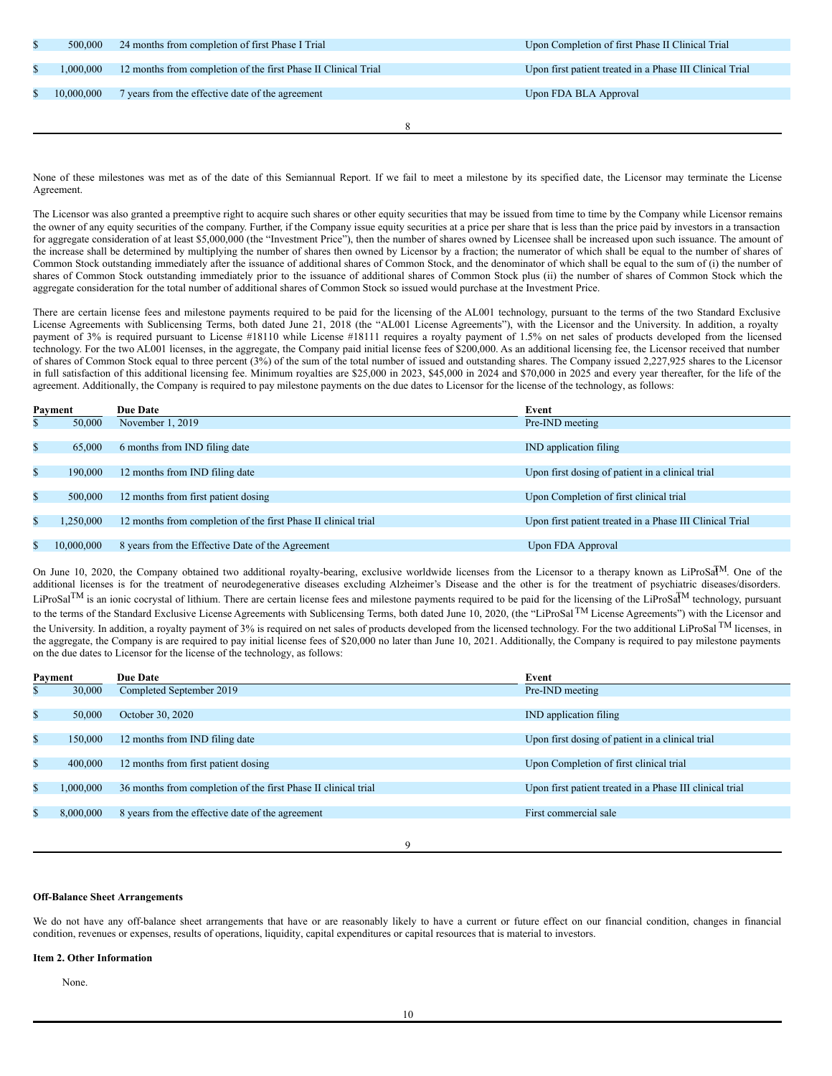| \$<br>500,000 | 24 months from completion of first Phase I Trial               | Upon Completion of first Phase II Clinical Trial         |
|---------------|----------------------------------------------------------------|----------------------------------------------------------|
|               |                                                                |                                                          |
| 1,000,000     | 12 months from completion of the first Phase II Clinical Trial | Upon first patient treated in a Phase III Clinical Trial |
|               |                                                                |                                                          |
| 10,000,000    | 7 years from the effective date of the agreement               | Upon FDA BLA Approval                                    |
|               |                                                                |                                                          |
|               |                                                                |                                                          |
|               |                                                                |                                                          |

None of these milestones was met as of the date of this Semiannual Report. If we fail to meet a milestone by its specified date, the Licensor may terminate the License Agreement.

The Licensor was also granted a preemptive right to acquire such shares or other equity securities that may be issued from time to time by the Company while Licensor remains the owner of any equity securities of the company. Further, if the Company issue equity securities at a price per share that is less than the price paid by investors in a transaction for aggregate consideration of at least \$5,000,000 (the "Investment Price"), then the number of shares owned by Licensee shall be increased upon such issuance. The amount of the increase shall be determined by multiplying the number of shares then owned by Licensor by a fraction; the numerator of which shall be equal to the number of shares of Common Stock outstanding immediately after the issuance of additional shares of Common Stock, and the denominator of which shall be equal to the sum of (i) the number of shares of Common Stock outstanding immediately prior to the issuance of additional shares of Common Stock plus (ii) the number of shares of Common Stock which the aggregate consideration for the total number of additional shares of Common Stock so issued would purchase at the Investment Price.

There are certain license fees and milestone payments required to be paid for the licensing of the AL001 technology, pursuant to the terms of the two Standard Exclusive License Agreements with Sublicensing Terms, both dated June 21, 2018 (the "AL001 License Agreements"), with the Licensor and the University. In addition, a royalty payment of 3% is required pursuant to License #18110 while License #18111 requires a royalty payment of 1.5% on net sales of products developed from the licensed technology. For the two AL001 licenses, in the aggregate, the Company paid initial license fees of \$200,000. As an additional licensing fee, the Licensor received that number of shares of Common Stock equal to three percent (3%) of the sum of the total number of issued and outstanding shares. The Company issued 2,227,925 shares to the Licensor in full satisfaction of this additional licensing fee. Minimum royalties are \$25,000 in 2023, \$45,000 in 2024 and \$70,000 in 2025 and every year thereafter, for the life of the agreement. Additionally, the Company is required to pay milestone payments on the due dates to Licensor for the license of the technology, as follows:

| Payment |            | <b>Due Date</b>                                                | Event                                                    |
|---------|------------|----------------------------------------------------------------|----------------------------------------------------------|
| Ÿ.      | 50,000     | November $1, 2019$                                             | Pre-IND meeting                                          |
|         |            |                                                                |                                                          |
| \$      | 65,000     | 6 months from IND filing date                                  | <b>IND</b> application filing                            |
|         |            |                                                                |                                                          |
| \$      | 190,000    | 12 months from IND filing date                                 | Upon first dosing of patient in a clinical trial         |
|         |            |                                                                |                                                          |
| \$      | 500,000    | 12 months from first patient dosing                            | Upon Completion of first clinical trial                  |
|         |            |                                                                |                                                          |
| \$      | 1.250.000  | 12 months from completion of the first Phase II clinical trial | Upon first patient treated in a Phase III Clinical Trial |
|         |            |                                                                |                                                          |
|         | 10,000,000 | 8 years from the Effective Date of the Agreement               | Upon FDA Approval                                        |

On June 10, 2020, the Company obtained two additional royalty-bearing, exclusive worldwide licenses from the Licensor to a therapy known as LiProSa<sup>TM</sup>. One of the additional licenses is for the treatment of neurodegenerative diseases excluding Alzheimer's Disease and the other is for the treatment of psychiatric diseases/disorders. LiProSal<sup>TM</sup> is an ionic cocrystal of lithium. There are certain license fees and milestone payments required to be paid for the licensing of the LiProSa<sup>TM</sup> technology, pursuant to the terms of the Standard Exclusive License Agreements with Sublicensing Terms, both dated June 10, 2020, (the "LiProSal<sup>TM</sup> License Agreements") with the Licensor and the University. In addition, a royalty payment of 3% is required on net sales of products developed from the licensed technology. For the two additional LiProSal <sup>TM</sup> licenses, in the aggregate, the Company is are required to pay initial license fees of \$20,000 no later than June 10, 2021. Additionally, the Company is required to pay milestone payments on the due dates to Licensor for the license of the technology, as follows:

| Payment |           | <b>Due Date</b>                                                | Event |                                                          |
|---------|-----------|----------------------------------------------------------------|-------|----------------------------------------------------------|
| ъ       | 30,000    | Completed September 2019                                       |       | Pre-IND meeting                                          |
|         |           |                                                                |       |                                                          |
| \$      | 50,000    | October 30, 2020                                               |       | <b>IND</b> application filing                            |
|         |           |                                                                |       |                                                          |
| \$      | 150,000   | 12 months from IND filing date                                 |       | Upon first dosing of patient in a clinical trial         |
|         |           |                                                                |       |                                                          |
| \$      | 400,000   | 12 months from first patient dosing                            |       | Upon Completion of first clinical trial                  |
|         |           |                                                                |       |                                                          |
| \$      | 1,000,000 | 36 months from completion of the first Phase II clinical trial |       | Upon first patient treated in a Phase III clinical trial |
|         |           |                                                                |       |                                                          |
| \$      | 8,000,000 | 8 years from the effective date of the agreement               |       | First commercial sale                                    |
|         |           |                                                                |       |                                                          |
|         |           |                                                                |       |                                                          |
|         |           |                                                                | 9     |                                                          |

#### **Off-Balance Sheet Arrangements**

We do not have any off-balance sheet arrangements that have or are reasonably likely to have a current or future effect on our financial condition, changes in financial condition, revenues or expenses, results of operations, liquidity, capital expenditures or capital resources that is material to investors.

#### **Item 2. Other Information**

None.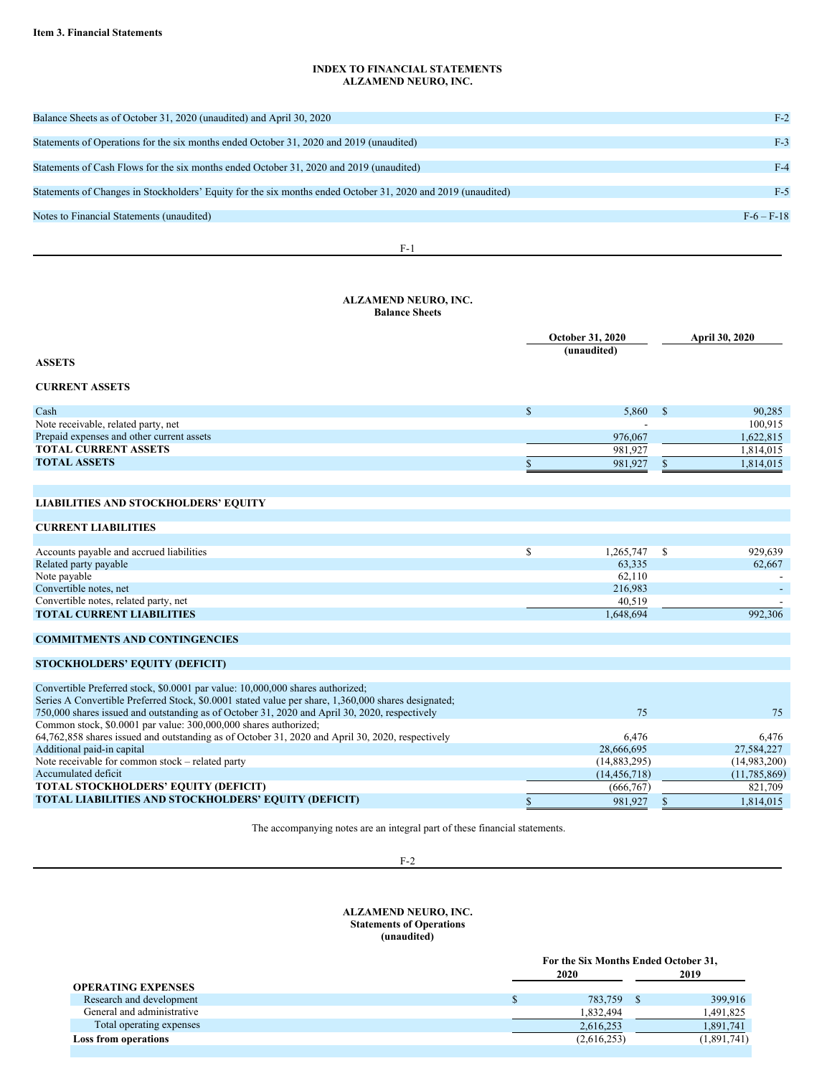### **INDEX TO FINANCIAL STATEMENTS ALZAMEND NEURO, INC.**

| Balance Sheets as of October 31, 2020 (unaudited) and April 30, 2020                                         | $F-2$        |
|--------------------------------------------------------------------------------------------------------------|--------------|
|                                                                                                              |              |
| Statements of Operations for the six months ended October 31, 2020 and 2019 (unaudited)                      | $F-3$        |
|                                                                                                              |              |
| Statements of Cash Flows for the six months ended October 31, 2020 and 2019 (unaudited)                      | $F-4$        |
|                                                                                                              |              |
| Statements of Changes in Stockholders' Equity for the six months ended October 31, 2020 and 2019 (unaudited) | $F-5$        |
|                                                                                                              |              |
| Notes to Financial Statements (unaudited)                                                                    | $F-6 - F-18$ |
|                                                                                                              |              |
|                                                                                                              |              |

F-1

### **ALZAMEND NEURO, INC. Balance Sheets**

|                                                                                                     |              | <b>October 31, 2020</b><br>(unaudited) |    | April 30, 2020 |
|-----------------------------------------------------------------------------------------------------|--------------|----------------------------------------|----|----------------|
| <b>ASSETS</b>                                                                                       |              |                                        |    |                |
| <b>CURRENT ASSETS</b>                                                                               |              |                                        |    |                |
| Cash                                                                                                | $\mathbb{S}$ | 5,860                                  | -S | 90,285         |
| Note receivable, related party, net                                                                 |              |                                        |    | 100,915        |
| Prepaid expenses and other current assets                                                           |              | 976,067                                |    | 1,622,815      |
| <b>TOTAL CURRENT ASSETS</b>                                                                         |              | 981,927                                |    | 1,814,015      |
| <b>TOTAL ASSETS</b>                                                                                 |              | 981,927                                |    | 1,814,015      |
|                                                                                                     |              |                                        |    |                |
|                                                                                                     |              |                                        |    |                |
| <b>LIABILITIES AND STOCKHOLDERS' EQUITY</b>                                                         |              |                                        |    |                |
| <b>CURRENT LIABILITIES</b>                                                                          |              |                                        |    |                |
|                                                                                                     |              |                                        |    |                |
| Accounts payable and accrued liabilities                                                            | \$           | 1,265,747                              | -S | 929,639        |
| Related party payable                                                                               |              | 63,335                                 |    | 62,667         |
| Note payable<br>Convertible notes, net                                                              |              | 62,110<br>216,983                      |    |                |
| Convertible notes, related party, net                                                               |              | 40,519                                 |    |                |
| <b>TOTAL CURRENT LIABILITIES</b>                                                                    |              | 1,648,694                              |    | 992,306        |
|                                                                                                     |              |                                        |    |                |
| <b>COMMITMENTS AND CONTINGENCIES</b>                                                                |              |                                        |    |                |
| STOCKHOLDERS' EQUITY (DEFICIT)                                                                      |              |                                        |    |                |
|                                                                                                     |              |                                        |    |                |
| Convertible Preferred stock, \$0.0001 par value: 10,000,000 shares authorized;                      |              |                                        |    |                |
| Series A Convertible Preferred Stock, \$0.0001 stated value per share, 1,360,000 shares designated; |              |                                        |    |                |
| 750,000 shares issued and outstanding as of October 31, 2020 and April 30, 2020, respectively       |              | 75                                     |    | 75             |
| Common stock, \$0.0001 par value: 300,000,000 shares authorized;                                    |              |                                        |    |                |

| 64,762,858 shares issued and outstanding as of October 31, 2020 and April 30, 2020, respectively | 6.476          | 6.476        |
|--------------------------------------------------------------------------------------------------|----------------|--------------|
| Additional paid-in capital                                                                       | 28,666,695     | 27,584,227   |
| Note receivable for common stock – related party                                                 | (14,883,295)   | (14,983,200) |
| Accumulated deficit                                                                              | (14, 456, 718) | (11,785,869) |
| <b>TOTAL STOCKHOLDERS' EQUITY (DEFICIT)</b>                                                      | (666.767)      | 821.709      |
| <b>TOTAL LIABILITIES AND STOCKHOLDERS' EQUITY (DEFICIT)</b>                                      | 981,927        | 1,814,015    |

The accompanying notes are an integral part of these financial statements.

F-2

### **ALZAMEND NEURO, INC. Statements of Operations (unaudited)**

|                            | For the Six Months Ended October 31, |  |             |  |  |
|----------------------------|--------------------------------------|--|-------------|--|--|
|                            | 2020                                 |  | 2019        |  |  |
| <b>OPERATING EXPENSES</b>  |                                      |  |             |  |  |
| Research and development   | 783.759                              |  | 399,916     |  |  |
| General and administrative | 1,832,494                            |  | 1,491,825   |  |  |
| Total operating expenses   | 2,616,253                            |  | 1,891,741   |  |  |
| Loss from operations       | (2,616,253)                          |  | (1,891,741) |  |  |
|                            |                                      |  |             |  |  |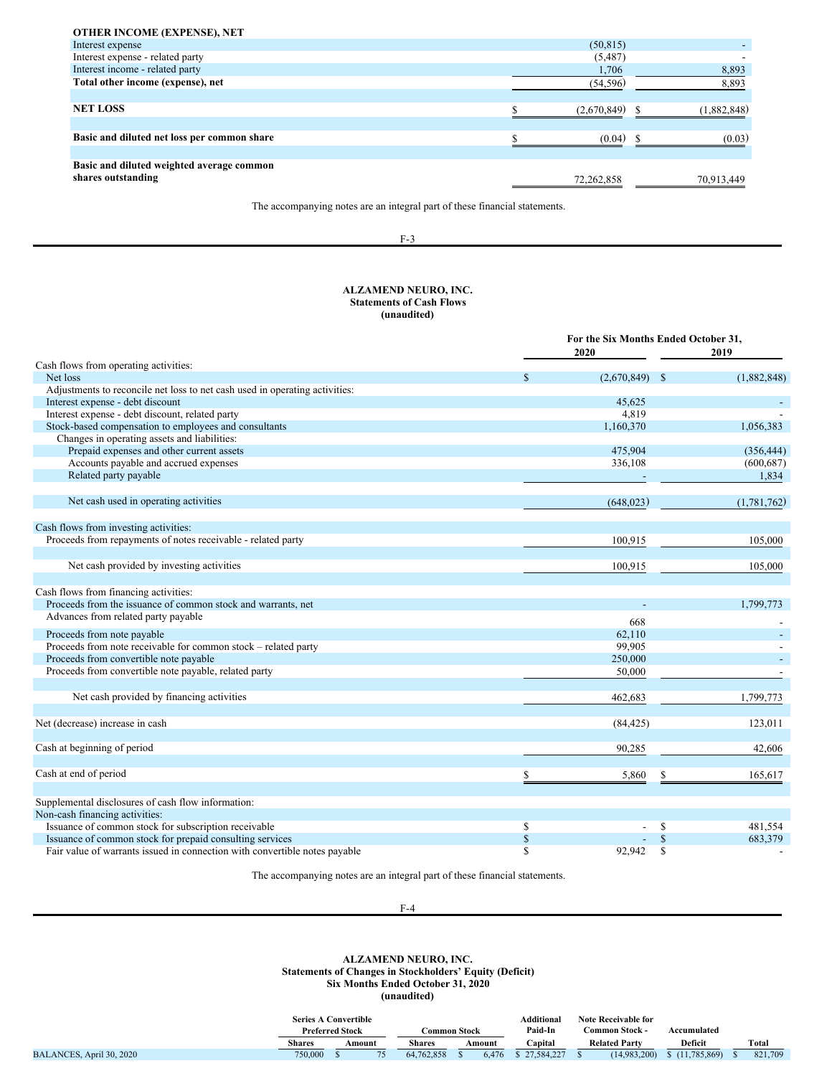| (50, 815)<br>Interest expense<br>Interest expense - related party<br>(5,487)<br>Interest income - related party<br>1,706<br>Total other income (expense), net<br>(54, 596) | <b>OTHER INCOME (EXPENSE), NET</b> |  |             |
|----------------------------------------------------------------------------------------------------------------------------------------------------------------------------|------------------------------------|--|-------------|
|                                                                                                                                                                            |                                    |  |             |
|                                                                                                                                                                            |                                    |  |             |
|                                                                                                                                                                            |                                    |  | 8,893       |
|                                                                                                                                                                            |                                    |  | 8,893       |
|                                                                                                                                                                            |                                    |  |             |
| <b>NET LOSS</b><br>(2.670.849)                                                                                                                                             |                                    |  | (1,882,848) |
|                                                                                                                                                                            |                                    |  |             |
| Basic and diluted net loss per common share<br>(0.04)                                                                                                                      |                                    |  | (0.03)      |
|                                                                                                                                                                            |                                    |  |             |
| Basic and diluted weighted average common                                                                                                                                  |                                    |  |             |
| shares outstanding<br>72,262,858                                                                                                                                           |                                    |  | 70,913,449  |

The accompanying notes are an integral part of these financial statements.

### F-3

### **ALZAMEND NEURO, INC. Statements of Cash Flows (unaudited)**

|                                                                             |             | For the Six Months Ended October 31,<br>2020 |               |             |  |  |
|-----------------------------------------------------------------------------|-------------|----------------------------------------------|---------------|-------------|--|--|
| Cash flows from operating activities:                                       |             |                                              |               |             |  |  |
| Net loss                                                                    |             | (2,670,849)                                  | <sup>\$</sup> | (1,882,848) |  |  |
| Adjustments to reconcile net loss to net cash used in operating activities: |             |                                              |               |             |  |  |
| Interest expense - debt discount                                            |             | 45,625                                       |               |             |  |  |
| Interest expense - debt discount, related party                             |             | 4.819                                        |               |             |  |  |
| Stock-based compensation to employees and consultants                       |             | 1,160,370                                    |               | 1,056,383   |  |  |
| Changes in operating assets and liabilities:                                |             |                                              |               |             |  |  |
| Prepaid expenses and other current assets                                   |             | 475,904                                      |               | (356, 444)  |  |  |
| Accounts payable and accrued expenses                                       |             | 336,108                                      |               | (600, 687)  |  |  |
| Related party payable                                                       |             |                                              |               | 1,834       |  |  |
| Net cash used in operating activities                                       |             | (648, 023)                                   |               | (1,781,762) |  |  |
| Cash flows from investing activities:                                       |             |                                              |               |             |  |  |
| Proceeds from repayments of notes receivable - related party                |             | 100,915                                      |               | 105,000     |  |  |
| Net cash provided by investing activities                                   |             | 100,915                                      |               | 105,000     |  |  |
| Cash flows from financing activities:                                       |             |                                              |               |             |  |  |
| Proceeds from the issuance of common stock and warrants, net                |             |                                              |               | 1,799,773   |  |  |
| Advances from related party payable                                         |             | 668                                          |               |             |  |  |
| Proceeds from note payable                                                  |             | 62,110                                       |               |             |  |  |
| Proceeds from note receivable for common stock - related party              |             | 99,905                                       |               |             |  |  |
| Proceeds from convertible note payable                                      |             | 250,000                                      |               |             |  |  |
| Proceeds from convertible note payable, related party                       |             | 50,000                                       |               |             |  |  |
| Net cash provided by financing activities                                   |             | 462,683                                      |               | 1,799,773   |  |  |
| Net (decrease) increase in cash                                             |             | (84, 425)                                    |               | 123,011     |  |  |
| Cash at beginning of period                                                 |             | 90,285                                       |               | 42,606      |  |  |
|                                                                             |             |                                              |               |             |  |  |
| Cash at end of period                                                       |             | 5,860                                        |               | 165,617     |  |  |
| Supplemental disclosures of cash flow information:                          |             |                                              |               |             |  |  |
| Non-cash financing activities:                                              |             |                                              |               |             |  |  |
| Issuance of common stock for subscription receivable                        | \$          |                                              | S             | 481,554     |  |  |
| Issuance of common stock for prepaid consulting services                    | $\mathbb S$ |                                              |               | 683,379     |  |  |
| Fair value of warrants issued in connection with convertible notes payable  | S           | 92,942                                       |               |             |  |  |

The accompanying notes are an integral part of these financial statements.

#### **ALZAMEND NEURO, INC. Statements of Changes in Stockholders' Equity (Deficit) Six Months Ended October 31, 2020 (unaudited)**

|                          |               | <b>Series A Convertible</b><br><b>Preferred Stock</b> |        | Common Stock  |  |        | Additional<br>Paid-In |  | <b>Note Receivable for</b><br>Common Stock - | Accumulated    |         |
|--------------------------|---------------|-------------------------------------------------------|--------|---------------|--|--------|-----------------------|--|----------------------------------------------|----------------|---------|
|                          | <b>Shares</b> |                                                       | Amount | <b>Shares</b> |  | Amount | `apital               |  | <b>Related Party</b>                         | <b>Deficit</b> | Total   |
| BALANCES, April 30, 2020 | 750,000       |                                                       |        | 64,762,858    |  | 6.476  | 27,584,227            |  | (14.983.200)                                 | (11,785,869)   | 821,709 |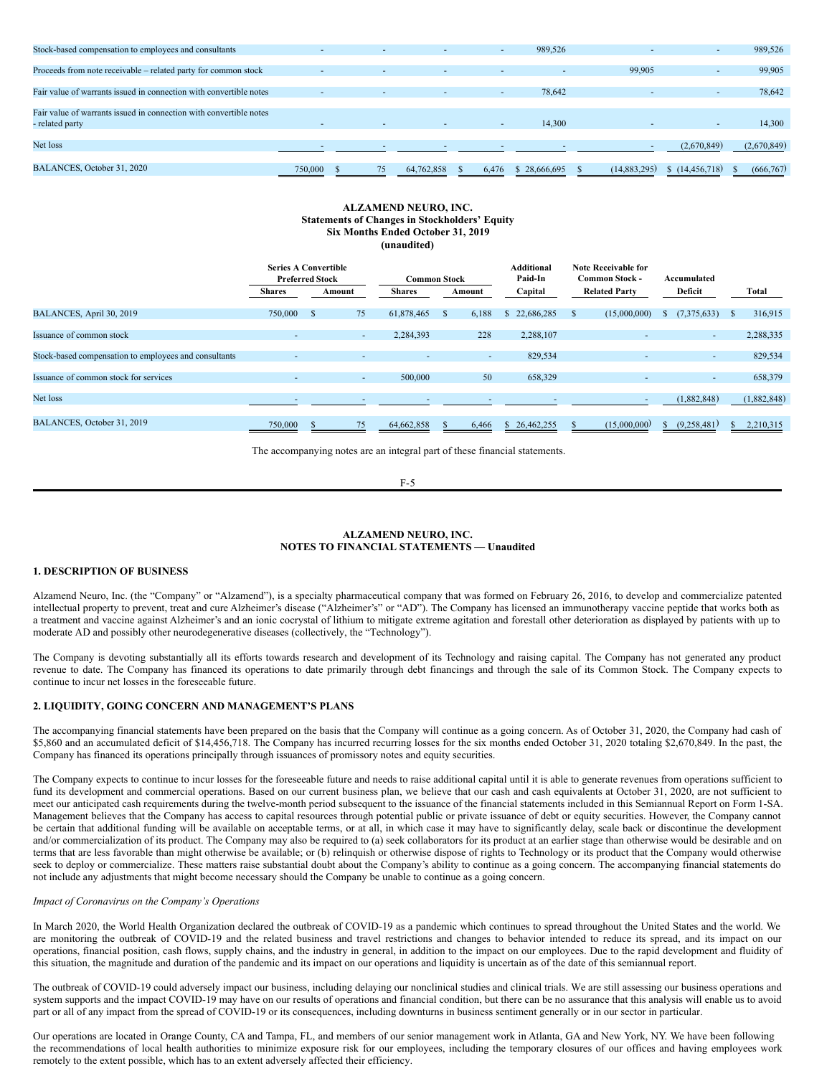| Stock-based compensation to employees and consultants              | $\overline{\phantom{a}}$ | ٠.                       |                          |       | 989,526<br>$\sim$ |              | $\overline{\phantom{a}}$ | 989,526     |
|--------------------------------------------------------------------|--------------------------|--------------------------|--------------------------|-------|-------------------|--------------|--------------------------|-------------|
|                                                                    |                          |                          |                          |       |                   |              |                          |             |
| Proceeds from note receivable – related party for common stock     |                          | $\overline{\phantom{a}}$ | $\overline{\phantom{a}}$ |       | $\sim$            | 99,905       | $\overline{\phantom{a}}$ | 99,905      |
|                                                                    |                          |                          |                          |       |                   |              |                          |             |
| Fair value of warrants issued in connection with convertible notes |                          |                          |                          |       | 78,642<br>$\sim$  |              | $\overline{\phantom{a}}$ | 78,642      |
|                                                                    |                          |                          |                          |       |                   |              |                          |             |
| Fair value of warrants issued in connection with convertible notes |                          |                          |                          |       |                   |              |                          |             |
| - related party                                                    |                          | ٠.                       |                          |       | 14.300<br>$\sim$  |              | $\overline{\phantom{a}}$ | 14,300      |
|                                                                    |                          |                          |                          |       |                   |              |                          |             |
| Net loss                                                           |                          | ٠.                       |                          |       |                   |              | (2,670,849)              | (2,670,849) |
|                                                                    |                          |                          |                          |       |                   |              |                          |             |
| BALANCES, October 31, 2020                                         | 750,000                  | 75                       | 64,762,858               | 6.476 | \$28,666,695      | (14,883,295) | \$(14, 456, 718)         | (666, 767)  |
|                                                                    |                          |                          |                          |       |                   |              |                          |             |

#### **ALZAMEND NEURO, INC. Statements of Changes in Stockholders' Equity Six Months Ended October 31, 2019 (unaudited)**

|                                                       | <b>Series A Convertible</b><br><b>Preferred Stock</b> |      |        | <b>Common Stock</b> |               |        | Additional<br>Paid-In |                      | Note Receivable for<br><b>Common Stock -</b> | Accumulated |        |          |             |
|-------------------------------------------------------|-------------------------------------------------------|------|--------|---------------------|---------------|--------|-----------------------|----------------------|----------------------------------------------|-------------|--------|----------|-------------|
|                                                       | <b>Shares</b>                                         |      | Amount | <b>Shares</b>       |               | Amount | Capital               | <b>Related Party</b> |                                              | Deficit     |        |          | Total       |
| BALANCES, April 30, 2019                              | 750,000                                               | - \$ | 75     | 61,878,465          | <sup>\$</sup> | 6,188  | \$22,686,285          |                      | (15,000,000)                                 | (7,375,633) |        | <b>S</b> | 316,915     |
| Issuance of common stock                              | $\overline{\phantom{a}}$                              |      | ۰.     | 2,284,393           |               | 228    | 2,288,107             |                      |                                              |             | $\sim$ |          | 2,288,335   |
| Stock-based compensation to employees and consultants |                                                       |      |        | ۰                   |               | $\sim$ | 829,534               |                      |                                              |             | ۰.     |          | 829,534     |
| Issuance of common stock for services                 | $\overline{\phantom{a}}$                              |      | $\sim$ | 500,000             |               | 50     | 658,329               |                      |                                              |             | $\sim$ |          | 658,379     |
| Net loss                                              |                                                       |      |        |                     |               |        |                       |                      |                                              | (1,882,848) |        |          | (1,882,848) |
| BALANCES, October 31, 2019                            | 750,000                                               |      | 75     | 64,662,858          |               | 6,466  | \$26,462,255          |                      | (15,000,000)                                 | (9,258,481) |        |          | 2,210,315   |

The accompanying notes are an integral part of these financial statements.

F-5

#### **ALZAMEND NEURO, INC. NOTES TO FINANCIAL STATEMENTS — Unaudited**

#### **1. DESCRIPTION OF BUSINESS**

Alzamend Neuro, Inc. (the "Company" or "Alzamend"), is a specialty pharmaceutical company that was formed on February 26, 2016, to develop and commercialize patented intellectual property to prevent, treat and cure Alzheimer's disease ("Alzheimer's" or "AD"). The Company has licensed an immunotherapy vaccine peptide that works both as a treatment and vaccine against Alzheimer's and an ionic cocrystal of lithium to mitigate extreme agitation and forestall other deterioration as displayed by patients with up to moderate AD and possibly other neurodegenerative diseases (collectively, the "Technology").

The Company is devoting substantially all its efforts towards research and development of its Technology and raising capital. The Company has not generated any product revenue to date. The Company has financed its operations to date primarily through debt financings and through the sale of its Common Stock. The Company expects to continue to incur net losses in the foreseeable future.

#### **2. LIQUIDITY, GOING CONCERN AND MANAGEMENT'S PLANS**

The accompanying financial statements have been prepared on the basis that the Company will continue as a going concern. As of October 31, 2020, the Company had cash of \$5,860 and an accumulated deficit of \$14,456,718. The Company has incurred recurring losses for the six months ended October 31, 2020 totaling \$2,670,849. In the past, the Company has financed its operations principally through issuances of promissory notes and equity securities.

The Company expects to continue to incur losses for the foreseeable future and needs to raise additional capital until it is able to generate revenues from operations sufficient to fund its development and commercial operations. Based on our current business plan, we believe that our cash and cash equivalents at October 31, 2020, are not sufficient to meet our anticipated cash requirements during the twelve-month period subsequent to the issuance of the financial statements included in this Semiannual Report on Form 1-SA. Management believes that the Company has access to capital resources through potential public or private issuance of debt or equity securities. However, the Company cannot be certain that additional funding will be available on acceptable terms, or at all, in which case it may have to significantly delay, scale back or discontinue the development and/or commercialization of its product. The Company may also be required to (a) seek collaborators for its product at an earlier stage than otherwise would be desirable and on terms that are less favorable than might otherwise be available; or (b) relinquish or otherwise dispose of rights to Technology or its product that the Company would otherwise seek to deploy or commercialize. These matters raise substantial doubt about the Company's ability to continue as a going concern. The accompanying financial statements do not include any adjustments that might become necessary should the Company be unable to continue as a going concern.

### *Impact of Coronavirus on the Company's Operations*

In March 2020, the World Health Organization declared the outbreak of COVID-19 as a pandemic which continues to spread throughout the United States and the world. We are monitoring the outbreak of COVID-19 and the related business and travel restrictions and changes to behavior intended to reduce its spread, and its impact on our operations, financial position, cash flows, supply chains, and the industry in general, in addition to the impact on our employees. Due to the rapid development and fluidity of this situation, the magnitude and duration of the pandemic and its impact on our operations and liquidity is uncertain as of the date of this semiannual report.

The outbreak of COVID-19 could adversely impact our business, including delaying our nonclinical studies and clinical trials. We are still assessing our business operations and system supports and the impact COVID-19 may have on our results of operations and financial condition, but there can be no assurance that this analysis will enable us to avoid part or all of any impact from the spread of COVID-19 or its consequences, including downturns in business sentiment generally or in our sector in particular.

Our operations are located in Orange County, CA and Tampa, FL, and members of our senior management work in Atlanta, GA and New York, NY. We have been following the recommendations of local health authorities to minimize exposure risk for our employees, including the temporary closures of our offices and having employees work remotely to the extent possible, which has to an extent adversely affected their efficiency.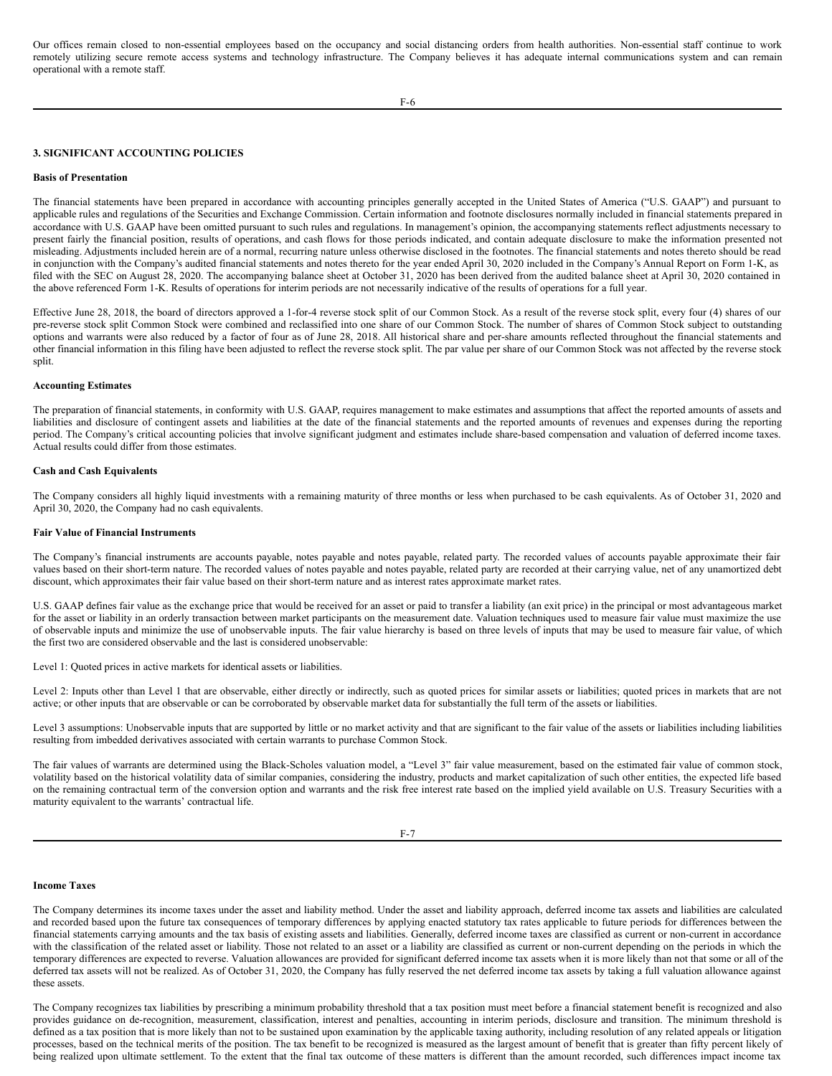Our offices remain closed to non-essential employees based on the occupancy and social distancing orders from health authorities. Non-essential staff continue to work remotely utilizing secure remote access systems and technology infrastructure. The Company believes it has adequate internal communications system and can remain operational with a remote staff.

#### **3. SIGNIFICANT ACCOUNTING POLICIES**

#### **Basis of Presentation**

The financial statements have been prepared in accordance with accounting principles generally accepted in the United States of America ("U.S. GAAP") and pursuant to applicable rules and regulations of the Securities and Exchange Commission. Certain information and footnote disclosures normally included in financial statements prepared in accordance with U.S. GAAP have been omitted pursuant to such rules and regulations. In management's opinion, the accompanying statements reflect adjustments necessary to present fairly the financial position, results of operations, and cash flows for those periods indicated, and contain adequate disclosure to make the information presented not misleading. Adjustments included herein are of a normal, recurring nature unless otherwise disclosed in the footnotes. The financial statements and notes thereto should be read in conjunction with the Company's audited financial statements and notes thereto for the year ended April 30, 2020 included in the Company's Annual Report on Form 1-K, as filed with the SEC on August 28, 2020. The accompanying balance sheet at October 31, 2020 has been derived from the audited balance sheet at April 30, 2020 contained in the above referenced Form 1-K. Results of operations for interim periods are not necessarily indicative of the results of operations for a full year.

Effective June 28, 2018, the board of directors approved a 1-for-4 reverse stock split of our Common Stock. As a result of the reverse stock split, every four (4) shares of our pre-reverse stock split Common Stock were combined and reclassified into one share of our Common Stock. The number of shares of Common Stock subject to outstanding options and warrants were also reduced by a factor of four as of June 28, 2018. All historical share and per-share amounts reflected throughout the financial statements and other financial information in this filing have been adjusted to reflect the reverse stock split. The par value per share of our Common Stock was not affected by the reverse stock split.

#### **Accounting Estimates**

The preparation of financial statements, in conformity with U.S. GAAP, requires management to make estimates and assumptions that affect the reported amounts of assets and liabilities and disclosure of contingent assets and liabilities at the date of the financial statements and the reported amounts of revenues and expenses during the reporting period. The Company's critical accounting policies that involve significant judgment and estimates include share-based compensation and valuation of deferred income taxes. Actual results could differ from those estimates.

#### **Cash and Cash Equivalents**

The Company considers all highly liquid investments with a remaining maturity of three months or less when purchased to be cash equivalents. As of October 31, 2020 and April 30, 2020, the Company had no cash equivalents.

#### **Fair Value of Financial Instruments**

The Company's financial instruments are accounts payable, notes payable and notes payable, related party. The recorded values of accounts payable approximate their fair values based on their short-term nature. The recorded values of notes payable and notes payable, related party are recorded at their carrying value, net of any unamortized debt discount, which approximates their fair value based on their short-term nature and as interest rates approximate market rates.

U.S. GAAP defines fair value as the exchange price that would be received for an asset or paid to transfer a liability (an exit price) in the principal or most advantageous market for the asset or liability in an orderly transaction between market participants on the measurement date. Valuation techniques used to measure fair value must maximize the use of observable inputs and minimize the use of unobservable inputs. The fair value hierarchy is based on three levels of inputs that may be used to measure fair value, of which the first two are considered observable and the last is considered unobservable:

Level 1: Quoted prices in active markets for identical assets or liabilities.

Level 2: Inputs other than Level 1 that are observable, either directly or indirectly, such as quoted prices for similar assets or liabilities; quoted prices in markets that are not active; or other inputs that are observable or can be corroborated by observable market data for substantially the full term of the assets or liabilities.

Level 3 assumptions: Unobservable inputs that are supported by little or no market activity and that are significant to the fair value of the assets or liabilities including liabilities resulting from imbedded derivatives associated with certain warrants to purchase Common Stock.

The fair values of warrants are determined using the Black-Scholes valuation model, a "Level 3" fair value measurement, based on the estimated fair value of common stock, volatility based on the historical volatility data of similar companies, considering the industry, products and market capitalization of such other entities, the expected life based on the remaining contractual term of the conversion option and warrants and the risk free interest rate based on the implied yield available on U.S. Treasury Securities with a maturity equivalent to the warrants' contractual life.

#### F-7

#### **Income Taxes**

The Company determines its income taxes under the asset and liability method. Under the asset and liability approach, deferred income tax assets and liabilities are calculated and recorded based upon the future tax consequences of temporary differences by applying enacted statutory tax rates applicable to future periods for differences between the financial statements carrying amounts and the tax basis of existing assets and liabilities. Generally, deferred income taxes are classified as current or non-current in accordance with the classification of the related asset or liability. Those not related to an asset or a liability are classified as current or non-current depending on the periods in which the temporary differences are expected to reverse. Valuation allowances are provided for significant deferred income tax assets when it is more likely than not that some or all of the deferred tax assets will not be realized. As of October 31, 2020, the Company has fully reserved the net deferred income tax assets by taking a full valuation allowance against these assets.

The Company recognizes tax liabilities by prescribing a minimum probability threshold that a tax position must meet before a financial statement benefit is recognized and also provides guidance on de-recognition, measurement, classification, interest and penalties, accounting in interim periods, disclosure and transition. The minimum threshold is defined as a tax position that is more likely than not to be sustained upon examination by the applicable taxing authority, including resolution of any related appeals or litigation processes, based on the technical merits of the position. The tax benefit to be recognized is measured as the largest amount of benefit that is greater than fifty percent likely of being realized upon ultimate settlement. To the extent that the final tax outcome of these matters is different than the amount recorded, such differences impact income tax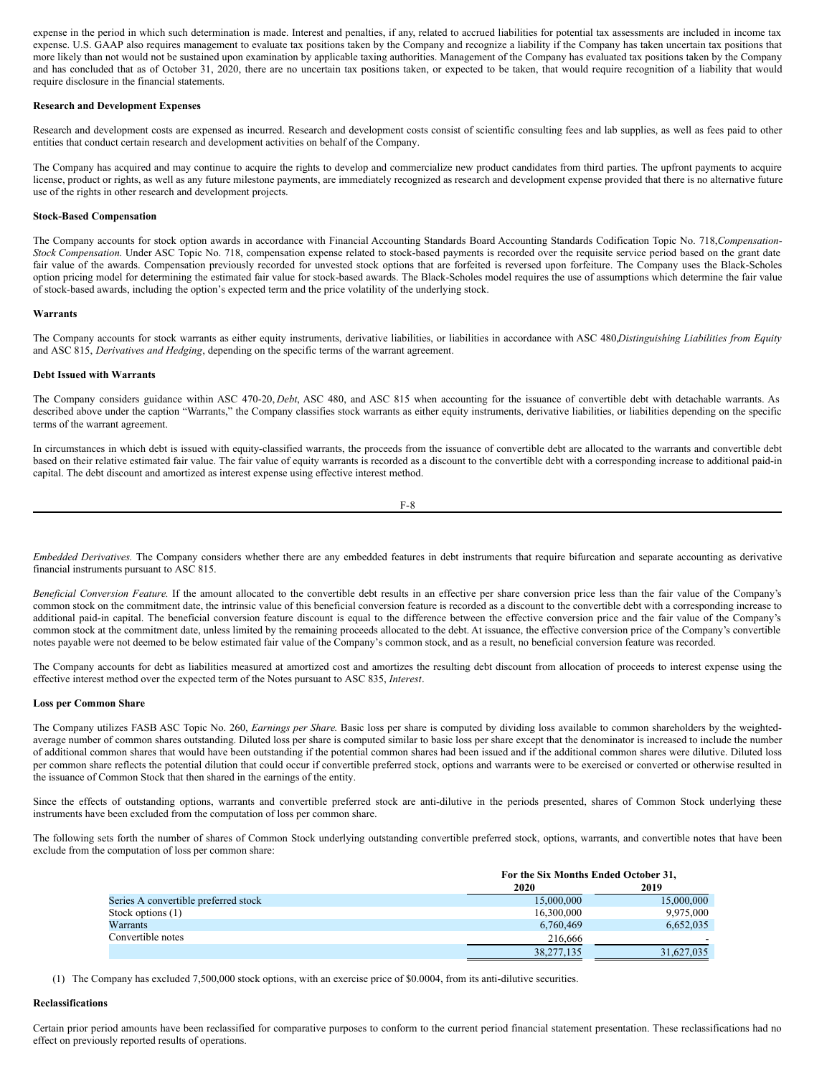expense in the period in which such determination is made. Interest and penalties, if any, related to accrued liabilities for potential tax assessments are included in income tax expense. U.S. GAAP also requires management to evaluate tax positions taken by the Company and recognize a liability if the Company has taken uncertain tax positions that more likely than not would not be sustained upon examination by applicable taxing authorities. Management of the Company has evaluated tax positions taken by the Company and has concluded that as of October 31, 2020, there are no uncertain tax positions taken, or expected to be taken, that would require recognition of a liability that would require disclosure in the financial statements.

#### **Research and Development Expenses**

Research and development costs are expensed as incurred. Research and development costs consist of scientific consulting fees and lab supplies, as well as fees paid to other entities that conduct certain research and development activities on behalf of the Company.

The Company has acquired and may continue to acquire the rights to develop and commercialize new product candidates from third parties. The upfront payments to acquire license, product or rights, as well as any future milestone payments, are immediately recognized as research and development expense provided that there is no alternative future use of the rights in other research and development projects.

#### **Stock-Based Compensation**

The Company accounts for stock option awards in accordance with Financial Accounting Standards Board Accounting Standards Codification Topic No. 718,*Compensation-Stock Compensation*. Under ASC Topic No. 718, compensation expense related to stock-based payments is recorded over the requisite service period based on the grant date fair value of the awards. Compensation previously recorded for unvested stock options that are forfeited is reversed upon forfeiture. The Company uses the Black-Scholes option pricing model for determining the estimated fair value for stock-based awards. The Black-Scholes model requires the use of assumptions which determine the fair value of stock-based awards, including the option's expected term and the price volatility of the underlying stock.

#### **Warrants**

The Company accounts for stock warrants as either equity instruments, derivative liabilities, or liabilities in accordance with ASC 480,*Distinguishing Liabilities from Equity* and ASC 815, *Derivatives and Hedging*, depending on the specific terms of the warrant agreement.

#### **Debt Issued with Warrants**

The Company considers guidance within ASC 470-20, *Debt*, ASC 480, and ASC 815 when accounting for the issuance of convertible debt with detachable warrants. As described above under the caption "Warrants," the Company classifies stock warrants as either equity instruments, derivative liabilities, or liabilities depending on the specific terms of the warrant agreement.

In circumstances in which debt is issued with equity-classified warrants, the proceeds from the issuance of convertible debt are allocated to the warrants and convertible debt based on their relative estimated fair value. The fair value of equity warrants is recorded as a discount to the convertible debt with a corresponding increase to additional paid-in capital. The debt discount and amortized as interest expense using effective interest method.

$$
F-8
$$

*Embedded Derivatives.* The Company considers whether there are any embedded features in debt instruments that require bifurcation and separate accounting as derivative financial instruments pursuant to ASC 815.

*Beneficial Conversion Feature.* If the amount allocated to the convertible debt results in an effective per share conversion price less than the fair value of the Company's common stock on the commitment date, the intrinsic value of this beneficial conversion feature is recorded as a discount to the convertible debt with a corresponding increase to additional paid-in capital. The beneficial conversion feature discount is equal to the difference between the effective conversion price and the fair value of the Company's common stock at the commitment date, unless limited by the remaining proceeds allocated to the debt. At issuance, the effective conversion price of the Company's convertible notes payable were not deemed to be below estimated fair value of the Company's common stock, and as a result, no beneficial conversion feature was recorded.

The Company accounts for debt as liabilities measured at amortized cost and amortizes the resulting debt discount from allocation of proceeds to interest expense using the effective interest method over the expected term of the Notes pursuant to ASC 835, *Interest*.

#### **Loss per Common Share**

The Company utilizes FASB ASC Topic No. 260, *Earnings per Share*. Basic loss per share is computed by dividing loss available to common shareholders by the weightedaverage number of common shares outstanding. Diluted loss per share is computed similar to basic loss per share except that the denominator is increased to include the number of additional common shares that would have been outstanding if the potential common shares had been issued and if the additional common shares were dilutive. Diluted loss per common share reflects the potential dilution that could occur if convertible preferred stock, options and warrants were to be exercised or converted or otherwise resulted in the issuance of Common Stock that then shared in the earnings of the entity.

Since the effects of outstanding options, warrants and convertible preferred stock are anti-dilutive in the periods presented, shares of Common Stock underlying these instruments have been excluded from the computation of loss per common share.

The following sets forth the number of shares of Common Stock underlying outstanding convertible preferred stock, options, warrants, and convertible notes that have been exclude from the computation of loss per common share:

|                                      | For the Six Months Ended October 31, |            |
|--------------------------------------|--------------------------------------|------------|
|                                      | 2020                                 | 2019       |
| Series A convertible preferred stock | 15,000,000                           | 15,000,000 |
| Stock options (1)                    | 16,300,000                           | 9.975.000  |
| Warrants                             | 6,760,469                            | 6,652,035  |
| Convertible notes                    | 216,666                              |            |
|                                      | 38.277.135                           | 31.627.035 |

(1) The Company has excluded 7,500,000 stock options, with an exercise price of \$0.0004, from its anti-dilutive securities.

#### **Reclassifications**

Certain prior period amounts have been reclassified for comparative purposes to conform to the current period financial statement presentation. These reclassifications had no effect on previously reported results of operations.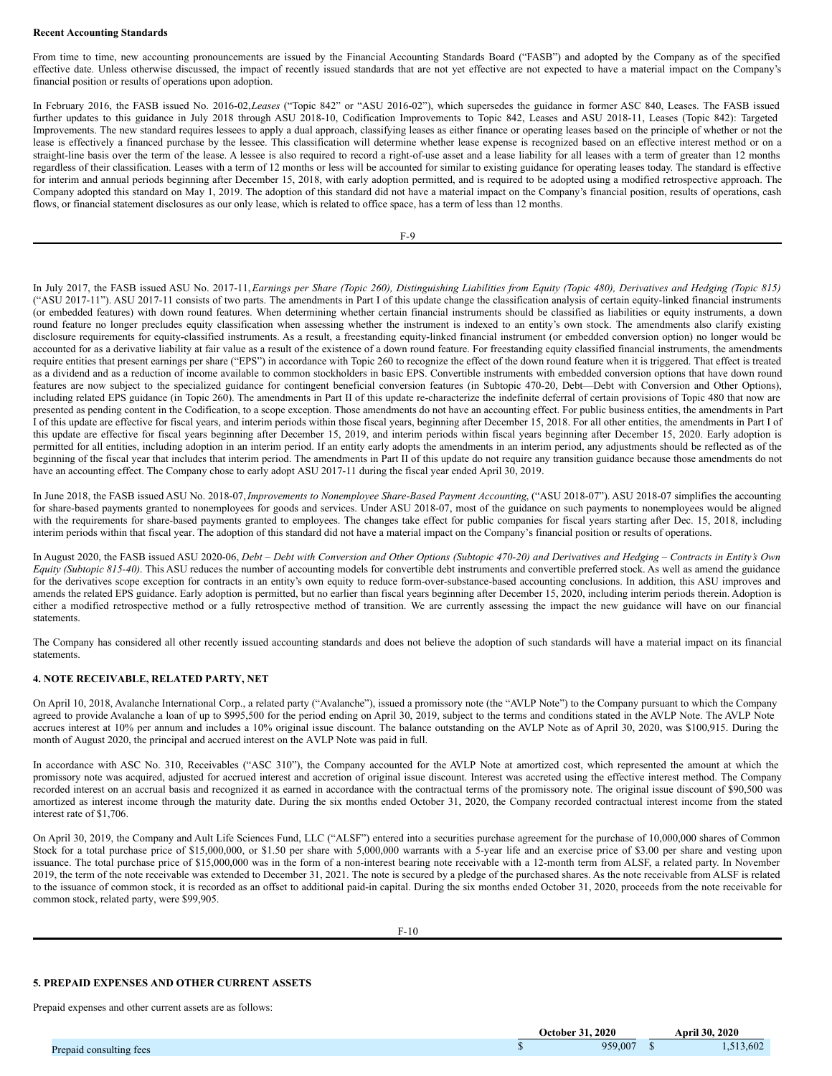#### **Recent Accounting Standards**

From time to time, new accounting pronouncements are issued by the Financial Accounting Standards Board ("FASB") and adopted by the Company as of the specified effective date. Unless otherwise discussed, the impact of recently issued standards that are not yet effective are not expected to have a material impact on the Company's financial position or results of operations upon adoption.

In February 2016, the FASB issued No. 2016-02,*Leases* ("Topic 842" or "ASU 2016-02"), which supersedes the guidance in former ASC 840, Leases. The FASB issued further updates to this guidance in July 2018 through ASU 2018-10, Codification Improvements to Topic 842, Leases and ASU 2018-11, Leases (Topic 842): Targeted Improvements. The new standard requires lessees to apply a dual approach, classifying leases as either finance or operating leases based on the principle of whether or not the lease is effectively a financed purchase by the lessee. This classification will determine whether lease expense is recognized based on an effective interest method or on a straight-line basis over the term of the lease. A lessee is also required to record a right-of-use asset and a lease liability for all leases with a term of greater than 12 months regardless of their classification. Leases with a term of 12 months or less will be accounted for similar to existing guidance for operating leases today. The standard is effective for interim and annual periods beginning after December 15, 2018, with early adoption permitted, and is required to be adopted using a modified retrospective approach. The Company adopted this standard on May 1, 2019. The adoption of this standard did not have a material impact on the Company's financial position, results of operations, cash flows, or financial statement disclosures as our only lease, which is related to office space, has a term of less than 12 months.

In July 2017, the FASB issued ASU No. 2017-11, Earnings per Share (Topic 260), Distinguishing Liabilities from Equity (Topic 480), Derivatives and Hedging (Topic 815) ("ASU 2017-11"). ASU 2017-11 consists of two parts. The amendments in Part I of this update change the classification analysis of certain equity-linked financial instruments (or embedded features) with down round features. When determining whether certain financial instruments should be classified as liabilities or equity instruments, a down round feature no longer precludes equity classification when assessing whether the instrument is indexed to an entity's own stock. The amendments also clarify existing disclosure requirements for equity-classified instruments. As a result, a freestanding equity-linked financial instrument (or embedded conversion option) no longer would be accounted for as a derivative liability at fair value as a result of the existence of a down round feature. For freestanding equity classified financial instruments, the amendments require entities that present earnings per share ("EPS") in accordance with Topic 260 to recognize the effect of the down round feature when it is triggered. That effect is treated as a dividend and as a reduction of income available to common stockholders in basic EPS. Convertible instruments with embedded conversion options that have down round features are now subject to the specialized guidance for contingent beneficial conversion features (in Subtopic 470-20, Debt—Debt with Conversion and Other Options), including related EPS guidance (in Topic 260). The amendments in Part II of this update re-characterize the indefinite deferral of certain provisions of Topic 480 that now are presented as pending content in the Codification, to a scope exception. Those amendments do not have an accounting effect. For public business entities, the amendments in Part I of this update are effective for fiscal years, and interim periods within those fiscal years, beginning after December 15, 2018. For all other entities, the amendments in Part I of this update are effective for fiscal years beginning after December 15, 2019, and interim periods within fiscal years beginning after December 15, 2020. Early adoption is permitted for all entities, including adoption in an interim period. If an entity early adopts the amendments in an interim period, any adjustments should be reflected as of the beginning of the fiscal year that includes that interim period. The amendments in Part II of this update do not require any transition guidance because those amendments do not have an accounting effect. The Company chose to early adopt ASU 2017-11 during the fiscal year ended April 30, 2019.

In June 2018, the FASB issued ASU No. 2018-07,*Improvements to Nonemployee Share-Based Payment Accounting*, ("ASU 2018-07"). ASU 2018-07 simplifies the accounting for share-based payments granted to nonemployees for goods and services. Under ASU 2018-07, most of the guidance on such payments to nonemployees would be aligned with the requirements for share-based payments granted to employees. The changes take effect for public companies for fiscal years starting after Dec. 15, 2018, including interim periods within that fiscal year. The adoption of this standard did not have a material impact on the Company's financial position or results of operations.

In August 2020, the FASB issued ASU 2020-06, Debt - Debt with Conversion and Other Options (Subtopic 470-20) and Derivatives and Hedging - Contracts in Entity's Own *Equity (Subtopic 815-40)*. This ASU reduces the number of accounting models for convertible debt instruments and convertible preferred stock. As well as amend the guidance for the derivatives scope exception for contracts in an entity's own equity to reduce form-over-substance-based accounting conclusions. In addition, this ASU improves and amends the related EPS guidance. Early adoption is permitted, but no earlier than fiscal years beginning after December 15, 2020, including interim periods therein. Adoption is either a modified retrospective method or a fully retrospective method of transition. We are currently assessing the impact the new guidance will have on our financial statements.

The Company has considered all other recently issued accounting standards and does not believe the adoption of such standards will have a material impact on its financial statements.

### **4. NOTE RECEIVABLE, RELATED PARTY, NET**

On April 10, 2018, Avalanche International Corp., a related party ("Avalanche"), issued a promissory note (the "AVLP Note") to the Company pursuant to which the Company agreed to provide Avalanche a loan of up to \$995,500 for the period ending on April 30, 2019, subject to the terms and conditions stated in the AVLP Note. The AVLP Note accrues interest at 10% per annum and includes a 10% original issue discount. The balance outstanding on the AVLP Note as of April 30, 2020, was \$100,915. During the month of August 2020, the principal and accrued interest on the AVLP Note was paid in full.

In accordance with ASC No. 310, Receivables ("ASC 310"), the Company accounted for the AVLP Note at amortized cost, which represented the amount at which the promissory note was acquired, adjusted for accrued interest and accretion of original issue discount. Interest was accreted using the effective interest method. The Company recorded interest on an accrual basis and recognized it as earned in accordance with the contractual terms of the promissory note. The original issue discount of \$90,500 was amortized as interest income through the maturity date. During the six months ended October 31, 2020, the Company recorded contractual interest income from the stated interest rate of \$1,706.

On April 30, 2019, the Company and Ault Life Sciences Fund, LLC ("ALSF") entered into a securities purchase agreement for the purchase of 10,000,000 shares of Common Stock for a total purchase price of \$15,000,000, or \$1.50 per share with  $5,000,000$  warrants with a  $\overline{5}$ -year life and an exercise price of \$3.00 per share and vesting upon issuance. The total purchase price of \$15,000,000 was in the form of a non-interest bearing note receivable with a 12-month term from ALSF, a related party. In November 2019, the term of the note receivable was extended to December 31, 2021. The note is secured by a pledge of the purchased shares. As the note receivable from ALSF is related to the issuance of common stock, it is recorded as an offset to additional paid-in capital. During the six months ended October 31, 2020, proceeds from the note receivable for common stock, related party, were \$99,905.

F-10

### **5. PREPAID EXPENSES AND OTHER CURRENT ASSETS**

Prepaid expenses and other current assets are as follows:

| <b>October 31, 2020</b> | <b>April 30, 2020</b> |
|-------------------------|-----------------------|
| 959,007                 | 513.602               |
|                         |                       |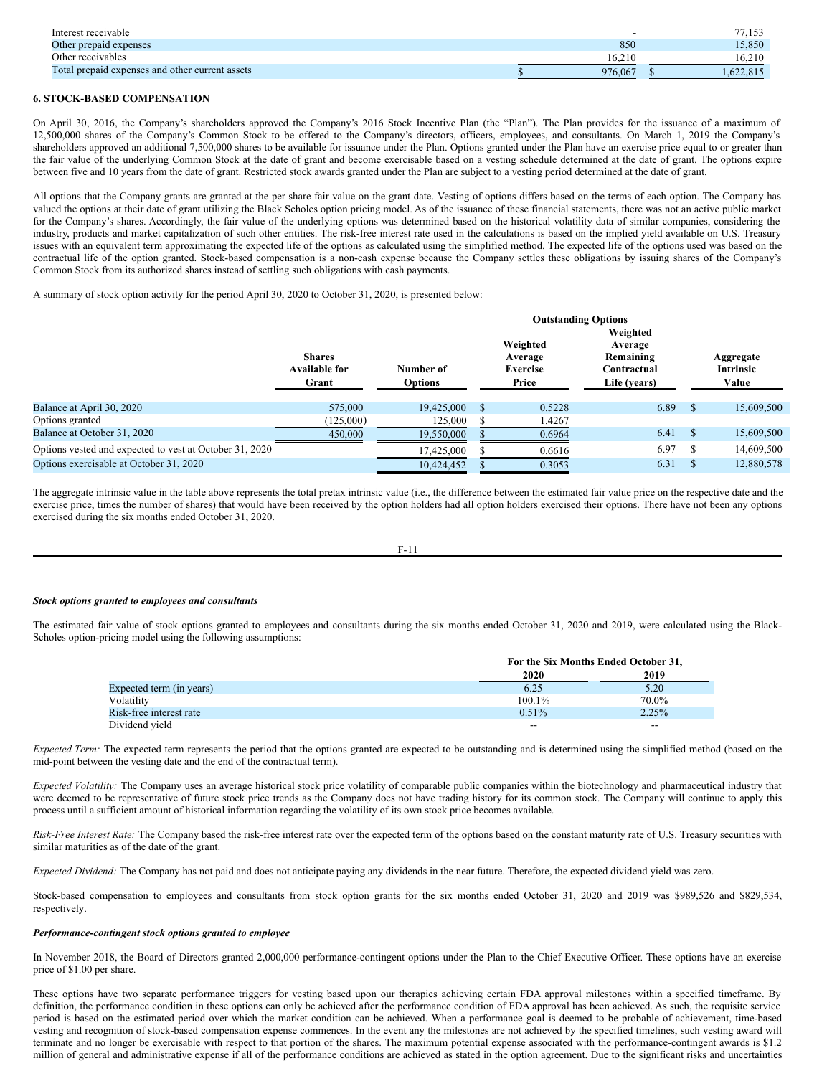| Interest receivable                             |         | 77.1      |
|-------------------------------------------------|---------|-----------|
| Other prepaid expenses                          | 850     | 15.850    |
| Other receivables                               | 16.210  | 16.210    |
| Total prepaid expenses and other current assets | 976.067 | 1.622.815 |

### **6. STOCK-BASED COMPENSATION**

On April 30, 2016, the Company's shareholders approved the Company's 2016 Stock Incentive Plan (the "Plan"). The Plan provides for the issuance of a maximum of 12,500,000 shares of the Company's Common Stock to be offered to the Company's directors, officers, employees, and consultants. On March 1, 2019 the Company's shareholders approved an additional 7,500,000 shares to be available for issuance under the Plan. Options granted under the Plan have an exercise price equal to or greater than the fair value of the underlying Common Stock at the date of grant and become exercisable based on a vesting schedule determined at the date of grant. The options expire between five and 10 years from the date of grant. Restricted stock awards granted under the Plan are subject to a vesting period determined at the date of grant.

All options that the Company grants are granted at the per share fair value on the grant date. Vesting of options differs based on the terms of each option. The Company has valued the options at their date of grant utilizing the Black Scholes option pricing model. As of the issuance of these financial statements, there was not an active public market for the Company's shares. Accordingly, the fair value of the underlying options was determined based on the historical volatility data of similar companies, considering the industry, products and market capitalization of such other entities. The risk-free interest rate used in the calculations is based on the implied yield available on U.S. Treasury issues with an equivalent term approximating the expected life of the options as calculated using the simplified method. The expected life of the options used was based on the contractual life of the option granted. Stock-based compensation is a non-cash expense because the Company settles these obligations by issuing shares of the Company's Common Stock from its authorized shares instead of settling such obligations with cash payments.

A summary of stock option activity for the period April 30, 2020 to October 31, 2020, is presented below:

|                                                         |                                                | <b>Outstanding Options</b>  |  |                                                 |                                                                 |               |                                        |  |
|---------------------------------------------------------|------------------------------------------------|-----------------------------|--|-------------------------------------------------|-----------------------------------------------------------------|---------------|----------------------------------------|--|
|                                                         | <b>Shares</b><br><b>Available for</b><br>Grant | Number of<br><b>Options</b> |  | Weighted<br>Average<br><b>Exercise</b><br>Price | Weighted<br>Average<br>Remaining<br>Contractual<br>Life (years) |               | Aggregate<br><b>Intrinsic</b><br>Value |  |
| Balance at April 30, 2020                               | 575,000                                        | 19.425,000                  |  | 0.5228                                          | 6.89                                                            | -S            | 15,609,500                             |  |
| Options granted                                         | (125,000)                                      | 125,000                     |  | 1.4267                                          |                                                                 |               |                                        |  |
| Balance at October 31, 2020                             | 450,000                                        | 19,550,000                  |  | 0.6964                                          | 6.41                                                            | <sup>\$</sup> | 15,609,500                             |  |
| Options vested and expected to vest at October 31, 2020 |                                                | 17,425,000                  |  | 0.6616                                          | 6.97                                                            | S             | 14,609,500                             |  |
| Options exercisable at October 31, 2020                 |                                                | 10,424,452                  |  | 0.3053                                          | 6.31                                                            | S             | 12,880,578                             |  |

The aggregate intrinsic value in the table above represents the total pretax intrinsic value (i.e., the difference between the estimated fair value price on the respective date and the exercise price, times the number of shares) that would have been received by the option holders had all option holders exercised their options. There have not been any options exercised during the six months ended October 31, 2020.

$$
F-11
$$

#### *Stock options granted to employees and consultants*

The estimated fair value of stock options granted to employees and consultants during the six months ended October 31, 2020 and 2019, were calculated using the Black-Scholes option-pricing model using the following assumptions:

|                          |           | For the Six Months Ended October 31, |  |  |
|--------------------------|-----------|--------------------------------------|--|--|
|                          | 2020      | 2019                                 |  |  |
| Expected term (in years) | 6.25      | 5.20                                 |  |  |
| Volatility               | $100.1\%$ | 70.0%                                |  |  |
| Risk-free interest rate  | $0.51\%$  | $2.25\%$                             |  |  |
| Dividend yield           | $- -$     | --                                   |  |  |

*Expected Term:* The expected term represents the period that the options granted are expected to be outstanding and is determined using the simplified method (based on the mid-point between the vesting date and the end of the contractual term).

*Expected Volatility:* The Company uses an average historical stock price volatility of comparable public companies within the biotechnology and pharmaceutical industry that were deemed to be representative of future stock price trends as the Company does not have trading history for its common stock. The Company will continue to apply this process until a sufficient amount of historical information regarding the volatility of its own stock price becomes available.

*Risk-Free Interest Rate:* The Company based the risk-free interest rate over the expected term of the options based on the constant maturity rate of U.S. Treasury securities with similar maturities as of the date of the grant.

*Expected Dividend:* The Company has not paid and does not anticipate paying any dividends in the near future. Therefore, the expected dividend yield was zero.

Stock-based compensation to employees and consultants from stock option grants for the six months ended October 31, 2020 and 2019 was \$989,526 and \$829,534, respectively.

#### *Performance-contingent stock options granted to employee*

In November 2018, the Board of Directors granted 2,000,000 performance-contingent options under the Plan to the Chief Executive Officer. These options have an exercise price of \$1.00 per share.

These options have two separate performance triggers for vesting based upon our therapies achieving certain FDA approval milestones within a specified timeframe. By definition, the performance condition in these options can only be achieved after the performance condition of FDA approval has been achieved. As such, the requisite service period is based on the estimated period over which the market condition can be achieved. When a performance goal is deemed to be probable of achievement, time-based vesting and recognition of stock-based compensation expense commences. In the event any the milestones are not achieved by the specified timelines, such vesting award will terminate and no longer be exercisable with respect to that portion of the shares. The maximum potential expense associated with the performance-contingent awards is \$1.2 million of general and administrative expense if all of the performance conditions are achieved as stated in the option agreement. Due to the significant risks and uncertainties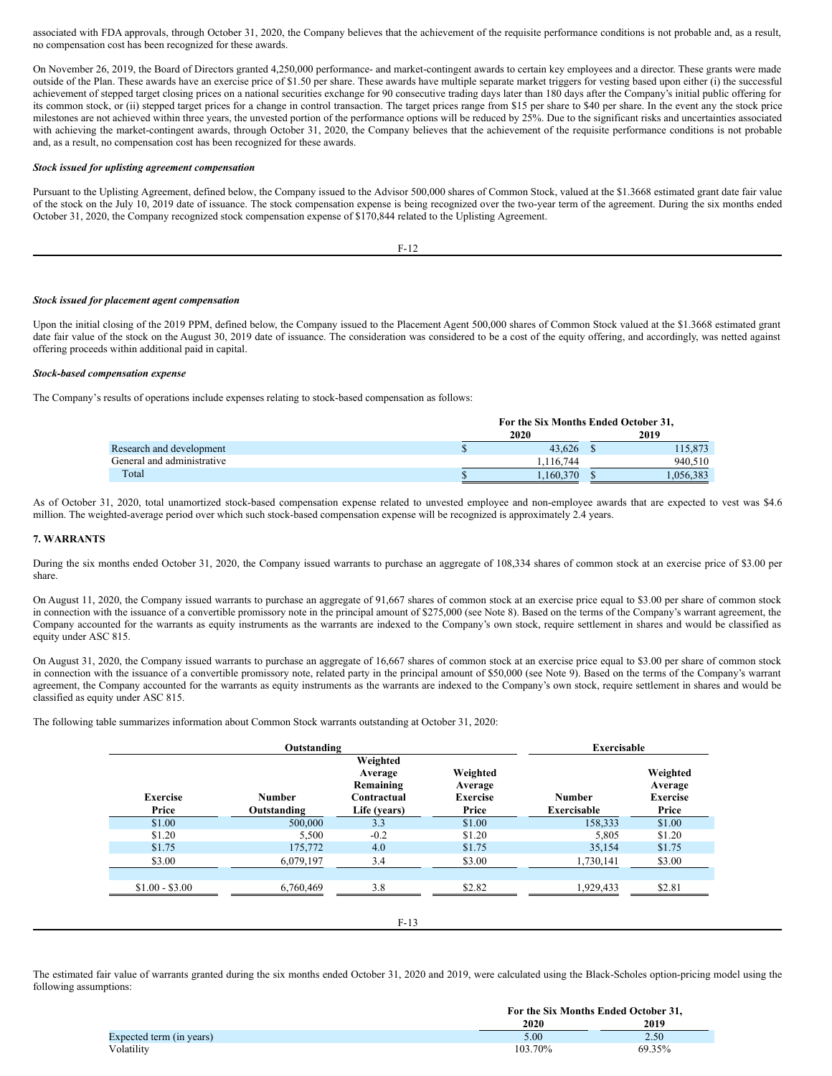associated with FDA approvals, through October 31, 2020, the Company believes that the achievement of the requisite performance conditions is not probable and, as a result, no compensation cost has been recognized for these awards.

On November 26, 2019, the Board of Directors granted 4,250,000 performance- and market-contingent awards to certain key employees and a director. These grants were made outside of the Plan. These awards have an exercise price of \$1.50 per share. These awards have multiple separate market triggers for vesting based upon either (i) the successful achievement of stepped target closing prices on a national securities exchange for 90 consecutive trading days later than 180 days after the Company's initial public offering for its common stock, or (ii) stepped target prices for a change in control transaction. The target prices range from \$15 per share to \$40 per share. In the event any the stock price milestones are not achieved within three years, the unvested portion of the performance options will be reduced by 25%. Due to the significant risks and uncertainties associated with achieving the market-contingent awards, through October 31, 2020, the Company believes that the achievement of the requisite performance conditions is not probable and, as a result, no compensation cost has been recognized for these awards.

#### *Stock issued for uplisting agreement compensation*

Pursuant to the Uplisting Agreement, defined below, the Company issued to the Advisor 500,000 shares of Common Stock, valued at the \$1.3668 estimated grant date fair value of the stock on the July 10, 2019 date of issuance. The stock compensation expense is being recognized over the two-year term of the agreement. During the six months ended October 31, 2020, the Company recognized stock compensation expense of \$170,844 related to the Uplisting Agreement.

F-12

#### *Stock issued for placement agent compensation*

Upon the initial closing of the 2019 PPM, defined below, the Company issued to the Placement Agent 500,000 shares of Common Stock valued at the \$1.3668 estimated grant date fair value of the stock on the August 30, 2019 date of issuance. The consideration was considered to be a cost of the equity offering, and accordingly, was netted against offering proceeds within additional paid in capital.

#### *Stock-based compensation expense*

The Company's results of operations include expenses relating to stock-based compensation as follows:

|                            | For the Six Months Ended October 31, |  |          |
|----------------------------|--------------------------------------|--|----------|
|                            | 2020                                 |  | 2019     |
| Research and development   | 43.626                               |  | 115.873  |
| General and administrative | 1.116.744                            |  | 940,510  |
| Total                      | .160.370                             |  | .056.383 |

As of October 31, 2020, total unamortized stock-based compensation expense related to unvested employee and non-employee awards that are expected to vest was \$4.6 million. The weighted-average period over which such stock-based compensation expense will be recognized is approximately 2.4 years.

#### **7. WARRANTS**

During the six months ended October 31, 2020, the Company issued warrants to purchase an aggregate of 108,334 shares of common stock at an exercise price of \$3.00 per share.

On August 11, 2020, the Company issued warrants to purchase an aggregate of 91,667 shares of common stock at an exercise price equal to \$3.00 per share of common stock in connection with the issuance of a convertible promissory note in the principal amount of \$275,000 (see Note 8). Based on the terms of the Company's warrant agreement, the Company accounted for the warrants as equity instruments as the warrants are indexed to the Company's own stock, require settlement in shares and would be classified as equity under ASC 815.

On August 31, 2020, the Company issued warrants to purchase an aggregate of 16,667 shares of common stock at an exercise price equal to \$3.00 per share of common stock in connection with the issuance of a convertible promissory note, related party in the principal amount of \$50,000 (see Note 9). Based on the terms of the Company's warrant agreement, the Company accounted for the warrants as equity instruments as the warrants are indexed to the Company's own stock, require settlement in shares and would be classified as equity under ASC 815.

The following table summarizes information about Common Stock warrants outstanding at October 31, 2020:

|                          | Outstanding                  |                                                                 |                                                 | Exercisable                         |                                                 |
|--------------------------|------------------------------|-----------------------------------------------------------------|-------------------------------------------------|-------------------------------------|-------------------------------------------------|
| <b>Exercise</b><br>Price | <b>Number</b><br>Outstanding | Weighted<br>Average<br>Remaining<br>Contractual<br>Life (years) | Weighted<br>Average<br><b>Exercise</b><br>Price | <b>Number</b><br><b>Exercisable</b> | Weighted<br>Average<br><b>Exercise</b><br>Price |
| \$1.00                   | 500,000                      | 3.3                                                             | \$1.00                                          | 158,333                             | \$1.00                                          |
| \$1.20                   | 5,500                        | $-0.2$                                                          | \$1.20                                          | 5.805                               | \$1.20                                          |
| \$1.75                   | 175,772                      | 4.0                                                             | \$1.75                                          | 35,154                              | \$1.75                                          |
| \$3.00                   | 6.079.197                    | 3.4                                                             | \$3.00                                          | 1,730,141                           | \$3.00                                          |
|                          |                              |                                                                 |                                                 |                                     |                                                 |
| $$1.00 - $3.00$          | 6,760,469                    | 3.8                                                             | \$2.82                                          | 1,929,433                           | \$2.81                                          |

The estimated fair value of warrants granted during the six months ended October 31, 2020 and 2019, were calculated using the Black-Scholes option-pricing model using the following assumptions:

|                          |         | For the Six Months Ended October 31, |  |  |
|--------------------------|---------|--------------------------------------|--|--|
|                          | 2020    | 2019                                 |  |  |
| Expected term (in years) | 5.00    | 2.50                                 |  |  |
| Volatility               | 103.70% | 69.35%                               |  |  |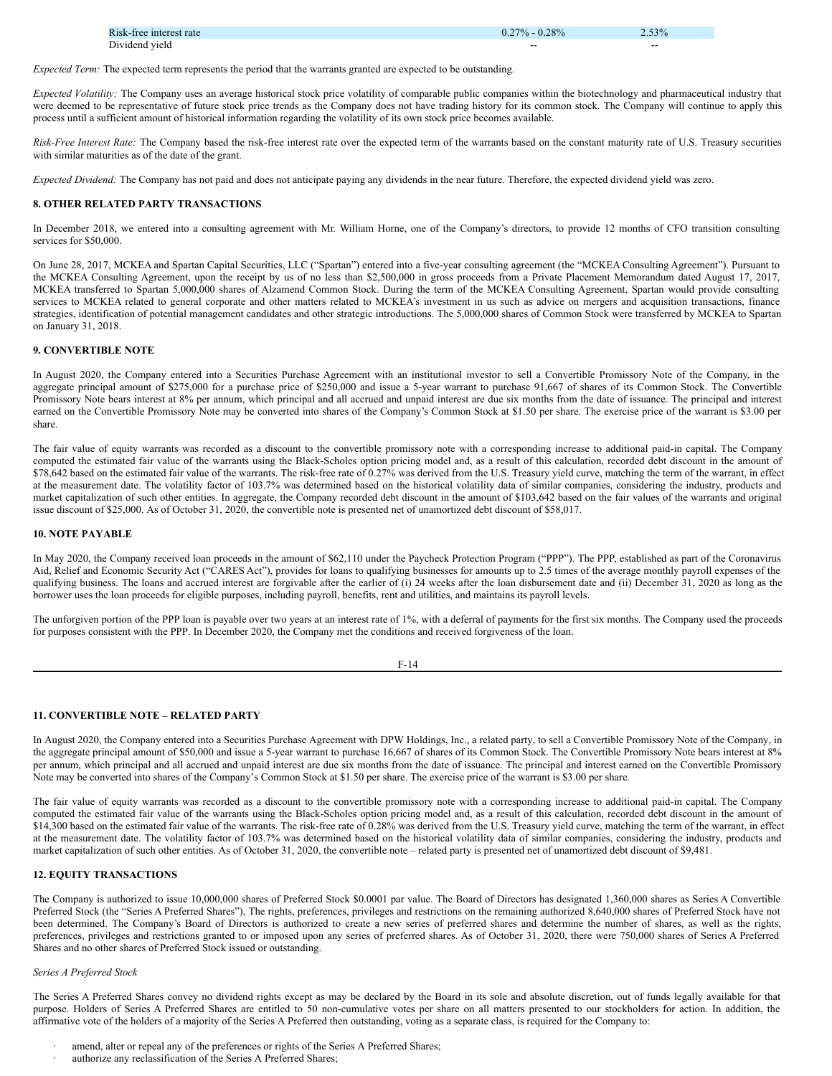| Risk-free interest rate | $-0.28%$<br>$77\%$ | 2.53% |
|-------------------------|--------------------|-------|
| Dividend vield          | ---                | --    |

*Expected Term:* The expected term represents the period that the warrants granted are expected to be outstanding.

*Expected Volatility:* The Company uses an average historical stock price volatility of comparable public companies within the biotechnology and pharmaceutical industry that were deemed to be representative of future stock price trends as the Company does not have trading history for its common stock. The Company will continue to apply this process until a sufficient amount of historical information regarding the volatility of its own stock price becomes available.

*Risk-Free Interest Rate:* The Company based the risk-free interest rate over the expected term of the warrants based on the constant maturity rate of U.S. Treasury securities with similar maturities as of the date of the grant.

*Expected Dividend:* The Company has not paid and does not anticipate paying any dividends in the near future. Therefore, the expected dividend yield was zero.

#### **8. OTHER RELATED PARTY TRANSACTIONS**

In December 2018, we entered into a consulting agreement with Mr. William Horne, one of the Company's directors, to provide 12 months of CFO transition consulting services for \$50,000.

On June 28, 2017, MCKEA and Spartan Capital Securities, LLC ("Spartan") entered into a five-year consulting agreement (the "MCKEA Consulting Agreement"). Pursuant to the MCKEA Consulting Agreement, upon the receipt by us of no less than \$2,500,000 in gross proceeds from a Private Placement Memorandum dated August 17, 2017, MCKEA transferred to Spartan 5,000,000 shares of Alzamend Common Stock. During the term of the MCKEA Consulting Agreement, Spartan would provide consulting services to MCKEA related to general corporate and other matters related to MCKEA's investment in us such as advice on mergers and acquisition transactions, finance strategies, identification of potential management candidates and other strategic introductions. The 5,000,000 shares of Common Stock were transferred by MCKEA to Spartan on January 31, 2018.

#### **9. CONVERTIBLE NOTE**

In August 2020, the Company entered into a Securities Purchase Agreement with an institutional investor to sell a Convertible Promissory Note of the Company, in the aggregate principal amount of \$275,000 for a purchase price of \$250,000 and issue a 5-year warrant to purchase 91,667 of shares of its Common Stock. The Convertible Promissory Note bears interest at 8% per annum, which principal and all accrued and unpaid interest are due six months from the date of issuance. The principal and interest earned on the Convertible Promissory Note may be converted into shares of the Company's Common Stock at \$1.50 per share. The exercise price of the warrant is \$3.00 per share.

The fair value of equity warrants was recorded as a discount to the convertible promissory note with a corresponding increase to additional paid-in capital. The Company computed the estimated fair value of the warrants using the Black-Scholes option pricing model and, as a result of this calculation, recorded debt discount in the amount of \$78,642 based on the estimated fair value of the warrants. The risk-free rate of 0.27% was derived from the U.S. Treasury yield curve, matching the term of the warrant, in effect at the measurement date. The volatility factor of 103.7% was determined based on the historical volatility data of similar companies, considering the industry, products and market capitalization of such other entities. In aggregate, the Company recorded debt discount in the amount of \$103,642 based on the fair values of the warrants and original issue discount of \$25,000. As of October 31, 2020, the convertible note is presented net of unamortized debt discount of \$58,017.

#### **10. NOTE PAYABLE**

In May 2020, the Company received loan proceeds in the amount of \$62,110 under the Paycheck Protection Program ("PPP"). The PPP, established as part of the Coronavirus Aid, Relief and Economic Security Act ("CARES Act"), provides for loans to qualifying businesses for amounts up to 2.5 times of the average monthly payroll expenses of the qualifying business. The loans and accrued interest are forgivable after the earlier of (i) 24 weeks after the loan disbursement date and (ii) December 31, 2020 as long as the borrower uses the loan proceeds for eligible purposes, including payroll, benefits, rent and utilities, and maintains its payroll levels.

The unforgiven portion of the PPP loan is payable over two years at an interest rate of 1%, with a deferral of payments for the first six months. The Company used the proceeds for purposes consistent with the PPP. In December 2020, the Company met the conditions and received forgiveness of the loan.

F-14

### **11. CONVERTIBLE NOTE – RELATED PARTY**

In August 2020, the Company entered into a Securities Purchase Agreement with DPW Holdings, Inc., a related party, to sell a Convertible Promissory Note of the Company, in the aggregate principal amount of \$50,000 and issue a 5-year warrant to purchase 16,667 of shares of its Common Stock. The Convertible Promissory Note bears interest at 8% per annum, which principal and all accrued and unpaid interest are due six months from the date of issuance. The principal and interest earned on the Convertible Promissory Note may be converted into shares of the Company's Common Stock at \$1.50 per share. The exercise price of the warrant is \$3.00 per share.

The fair value of equity warrants was recorded as a discount to the convertible promissory note with a corresponding increase to additional paid-in capital. The Company computed the estimated fair value of the warrants using the Black-Scholes option pricing model and, as a result of this calculation, recorded debt discount in the amount of \$14,300 based on the estimated fair value of the warrants. The risk-free rate of 0.28% was derived from the U.S. Treasury yield curve, matching the term of the warrant, in effect at the measurement date. The volatility factor of 103.7% was determined based on the historical volatility data of similar companies, considering the industry, products and market capitalization of such other entities. As of October 31, 2020, the convertible note – related party is presented net of unamortized debt discount of \$9,481.

### **12. EQUITY TRANSACTIONS**

The Company is authorized to issue 10,000,000 shares of Preferred Stock \$0.0001 par value. The Board of Directors has designated 1,360,000 shares as Series A Convertible Preferred Stock (the "Series A Preferred Shares"), The rights, preferences, privileges and restrictions on the remaining authorized 8,640,000 shares of Preferred Stock have not been determined. The Company's Board of Directors is authorized to create a new series of preferred shares and determine the number of shares, as well as the rights, preferences, privileges and restrictions granted to or imposed upon any series of preferred shares. As of October 31, 2020, there were 750,000 shares of Series A Preferred Shares and no other shares of Preferred Stock issued or outstanding.

### *Series A Preferred Stock*

The Series A Preferred Shares convey no dividend rights except as may be declared by the Board in its sole and absolute discretion, out of funds legally available for that purpose. Holders of Series A Preferred Shares are entitled to 50 non-cumulative votes per share on all matters presented to our stockholders for action. In addition, the affirmative vote of the holders of a majority of the Series A Preferred then outstanding, voting as a separate class, is required for the Company to:

- amend, alter or repeal any of the preferences or rights of the Series A Preferred Shares;
- authorize any reclassification of the Series A Preferred Shares;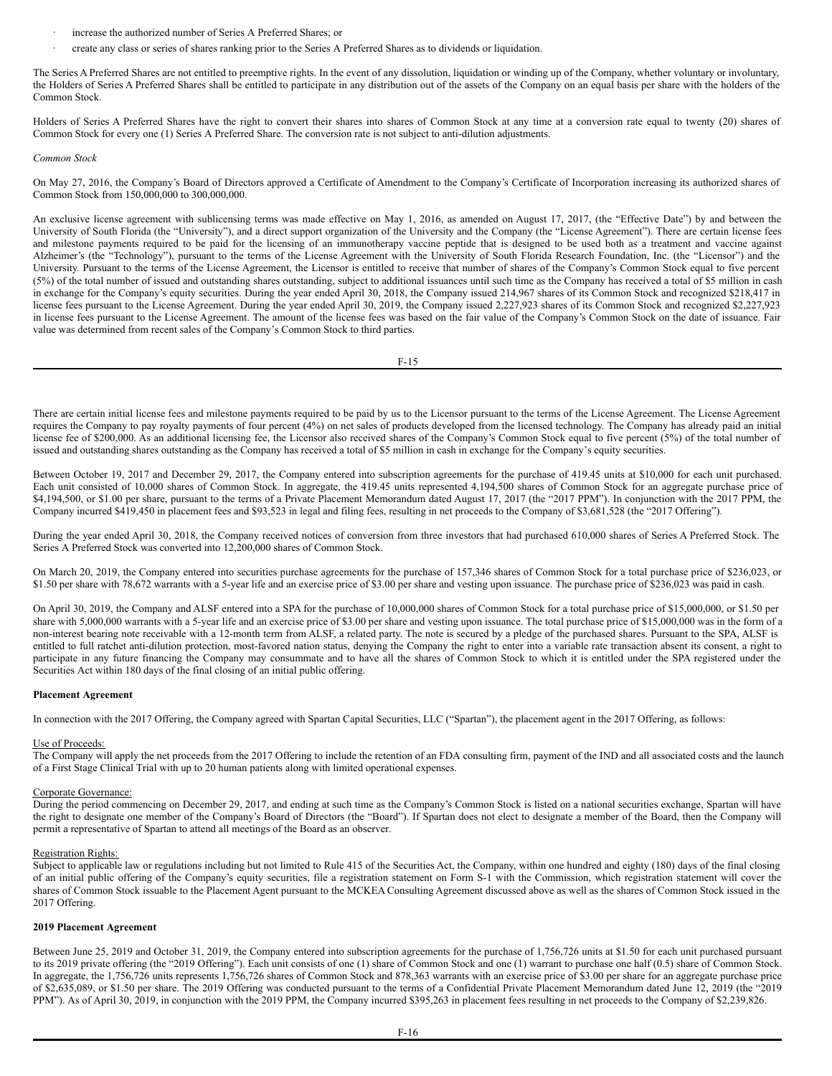- increase the authorized number of Series A Preferred Shares; or
- · create any class or series of shares ranking prior to the Series A Preferred Shares as to dividends or liquidation.

The Series A Preferred Shares are not entitled to preemptive rights. In the event of any dissolution, liquidation or winding up of the Company, whether voluntary or involuntary, the Holders of Series A Preferred Shares shall be entitled to participate in any distribution out of the assets of the Company on an equal basis per share with the holders of the Common Stock.

Holders of Series A Preferred Shares have the right to convert their shares into shares of Common Stock at any time at a conversion rate equal to twenty (20) shares of Common Stock for every one (1) Series A Preferred Share. The conversion rate is not subject to anti-dilution adjustments.

#### *Common Stock*

On May 27, 2016, the Company's Board of Directors approved a Certificate of Amendment to the Company's Certificate of Incorporation increasing its authorized shares of Common Stock from 150,000,000 to 300,000,000.

An exclusive license agreement with sublicensing terms was made effective on May 1, 2016, as amended on August 17, 2017, (the "Effective Date") by and between the University of South Florida (the "University"), and a direct support organization of the University and the Company (the "License Agreement"). There are certain license fees and milestone payments required to be paid for the licensing of an immunotherapy vaccine peptide that is designed to be used both as a treatment and vaccine against Alzheimer's (the "Technology"), pursuant to the terms of the License Agreement with the University of South Florida Research Foundation, Inc. (the "Licensor") and the University. Pursuant to the terms of the License Agreement, the Licensor is entitled to receive that number of shares of the Company's Common Stock equal to five percent (5%) of the total number of issued and outstanding shares outstanding, subject to additional issuances until such time as the Company has received a total of \$5 million in cash in exchange for the Company's equity securities. During the year ended April 30, 2018, the Company issued 214,967 shares of its Common Stock and recognized \$218,417 in license fees pursuant to the License Agreement. During the year ended April 30, 2019, the Company issued 2,227,923 shares of its Common Stock and recognized \$2,227,923 in license fees pursuant to the License Agreement. The amount of the license fees was based on the fair value of the Company's Common Stock on the date of issuance. Fair value was determined from recent sales of the Company's Common Stock to third parties.

F-15

There are certain initial license fees and milestone payments required to be paid by us to the Licensor pursuant to the terms of the License Agreement. The License Agreement requires the Company to pay royalty payments of four percent (4%) on net sales of products developed from the licensed technology. The Company has already paid an initial license fee of \$200,000. As an additional licensing fee, the Licensor also received shares of the Company's Common Stock equal to five percent (5%) of the total number of issued and outstanding shares outstanding as the Company has received a total of \$5 million in cash in exchange for the Company's equity securities.

Between October 19, 2017 and December 29, 2017, the Company entered into subscription agreements for the purchase of 419.45 units at \$10,000 for each unit purchased. Each unit consisted of 10,000 shares of Common Stock. In aggregate, the 419.45 units represented 4,194,500 shares of Common Stock for an aggregate purchase price of \$4,194,500, or \$1.00 per share, pursuant to the terms of a Private Placement Memorandum dated August 17, 2017 (the "2017 PPM"). In conjunction with the 2017 PPM, the Company incurred \$419,450 in placement fees and \$93,523 in legal and filing fees, resulting in net proceeds to the Company of \$3,681,528 (the "2017 Offering").

During the year ended April 30, 2018, the Company received notices of conversion from three investors that had purchased 610,000 shares of Series A Preferred Stock. The Series A Preferred Stock was converted into 12,200,000 shares of Common Stock.

On March 20, 2019, the Company entered into securities purchase agreements for the purchase of 157,346 shares of Common Stock for a total purchase price of \$236,023, or \$1.50 per share with 78,672 warrants with a 5-year life and an exercise price of \$3.00 per share and vesting upon issuance. The purchase price of \$236,023 was paid in cash.

On April 30, 2019, the Company and ALSF entered into a SPA for the purchase of 10,000,000 shares of Common Stock for a total purchase price of \$15,000,000, or \$1.50 per share with 5,000,000 warrants with a 5-year life and an exercise price of \$3.00 per share and vesting upon issuance. The total purchase price of \$15,000,000 was in the form of a non-interest bearing note receivable with a 12-month term from ALSF, a related party. The note is secured by a pledge of the purchased shares. Pursuant to the SPA, ALSF is entitled to full ratchet anti-dilution protection, most-favored nation status, denying the Company the right to enter into a variable rate transaction absent its consent, a right to participate in any future financing the Company may consummate and to have all the shares of Common Stock to which it is entitled under the SPA registered under the Securities Act within 180 days of the final closing of an initial public offering.

#### **Placement Agreement**

In connection with the 2017 Offering, the Company agreed with Spartan Capital Securities, LLC ("Spartan"), the placement agent in the 2017 Offering, as follows:

#### Use of Proceeds:

The Company will apply the net proceeds from the 2017 Offering to include the retention of an FDA consulting firm, payment of the IND and all associated costs and the launch of a First Stage Clinical Trial with up to 20 human patients along with limited operational expenses.

### Corporate Governance:

During the period commencing on December 29, 2017, and ending at such time as the Company's Common Stock is listed on a national securities exchange, Spartan will have the right to designate one member of the Company's Board of Directors (the "Board"). If Spartan does not elect to designate a member of the Board, then the Company will permit a representative of Spartan to attend all meetings of the Board as an observer.

#### Registration Rights:

Subject to applicable law or regulations including but not limited to Rule 415 of the Securities Act, the Company, within one hundred and eighty (180) days of the final closing of an initial public offering of the Company's equity securities, file a registration statement on Form S-1 with the Commission, which registration statement will cover the shares of Common Stock issuable to the Placement Agent pursuant to the MCKEA Consulting Agreement discussed above as well as the shares of Common Stock issued in the 2017 Offering.

### **2019 Placement Agreement**

Between June 25, 2019 and October 31, 2019, the Company entered into subscription agreements for the purchase of 1,756,726 units at \$1.50 for each unit purchased pursuant to its 2019 private offering (the "2019 Offering"). Each unit consists of one (1) share of Common Stock and one (1) warrant to purchase one half (0.5) share of Common Stock. In aggregate, the 1,756,726 units represents 1,756,726 shares of Common Stock and 878,363 warrants with an exercise price of \$3.00 per share for an aggregate purchase price of \$2,635,089, or \$1.50 per share. The 2019 Offering was conducted pursuant to the terms of a Confidential Private Placement Memorandum dated June 12, 2019 (the "2019 PPM"). As of April 30, 2019, in conjunction with the 2019 PPM, the Company incurred \$395,263 in placement fees resulting in net proceeds to the Company of \$2,239,826.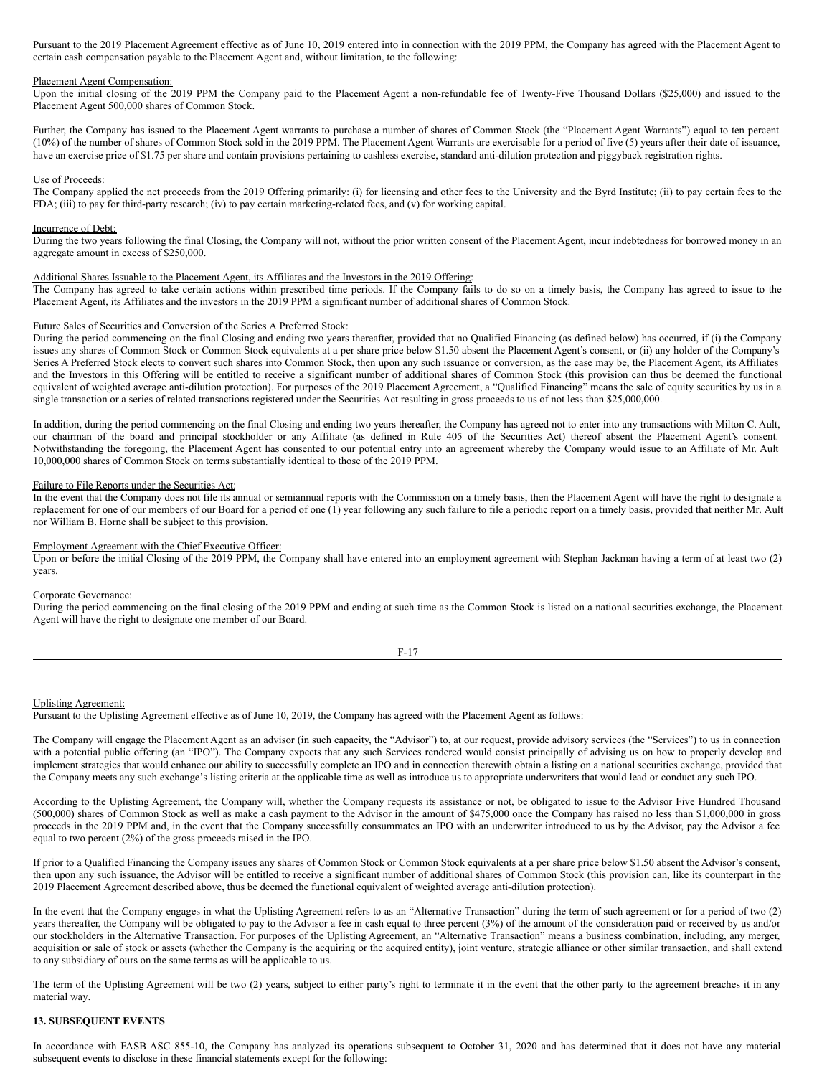Pursuant to the 2019 Placement Agreement effective as of June 10, 2019 entered into in connection with the 2019 PPM, the Company has agreed with the Placement Agent to certain cash compensation payable to the Placement Agent and, without limitation, to the following:

#### Placement Agent Compensation:

Upon the initial closing of the 2019 PPM the Company paid to the Placement Agent a non-refundable fee of Twenty-Five Thousand Dollars (\$25,000) and issued to the Placement Agent 500,000 shares of Common Stock.

Further, the Company has issued to the Placement Agent warrants to purchase a number of shares of Common Stock (the "Placement Agent Warrants") equal to ten percent (10%) of the number of shares of Common Stock sold in the 2019 PPM. The Placement Agent Warrants are exercisable for a period of five (5) years after their date of issuance, have an exercise price of \$1.75 per share and contain provisions pertaining to cashless exercise, standard anti-dilution protection and piggyback registration rights.

#### Use of Proceeds:

The Company applied the net proceeds from the 2019 Offering primarily: (i) for licensing and other fees to the University and the Byrd Institute; (ii) to pay certain fees to the FDA; (iii) to pay for third-party research; (iv) to pay certain marketing-related fees, and (v) for working capital.

#### Incurrence of Debt:

During the two years following the final Closing, the Company will not, without the prior written consent of the Placement Agent, incur indebtedness for borrowed money in an aggregate amount in excess of \$250,000.

#### Additional Shares Issuable to the Placement Agent, its Affiliates and the Investors in the 2019 Offering:

The Company has agreed to take certain actions within prescribed time periods. If the Company fails to do so on a timely basis, the Company has agreed to issue to the Placement Agent, its Affiliates and the investors in the 2019 PPM a significant number of additional shares of Common Stock.

#### Future Sales of Securities and Conversion of the Series A Preferred Stock:

During the period commencing on the final Closing and ending two years thereafter, provided that no Qualified Financing (as defined below) has occurred, if (i) the Company issues any shares of Common Stock or Common Stock equivalents at a per share price below \$1.50 absent the Placement Agent's consent, or (ii) any holder of the Company's Series A Preferred Stock elects to convert such shares into Common Stock, then upon any such issuance or conversion, as the case may be, the Placement Agent, its Affiliates and the Investors in this Offering will be entitled to receive a significant number of additional shares of Common Stock (this provision can thus be deemed the functional equivalent of weighted average anti-dilution protection). For purposes of the 2019 Placement Agreement, a "Qualified Financing" means the sale of equity securities by us in a single transaction or a series of related transactions registered under the Securities Act resulting in gross proceeds to us of not less than \$25,000,000.

In addition, during the period commencing on the final Closing and ending two years thereafter, the Company has agreed not to enter into any transactions with Milton C. Ault, our chairman of the board and principal stockholder or any Affiliate (as defined in Rule 405 of the Securities Act) thereof absent the Placement Agent's consent. Notwithstanding the foregoing, the Placement Agent has consented to our potential entry into an agreement whereby the Company would issue to an Affiliate of Mr. Ault 10,000,000 shares of Common Stock on terms substantially identical to those of the 2019 PPM.

#### Failure to File Reports under the Securities Act:

In the event that the Company does not file its annual or semiannual reports with the Commission on a timely basis, then the Placement Agent will have the right to designate a replacement for one of our members of our Board for a period of one (1) year following any such failure to file a periodic report on a timely basis, provided that neither Mr. Ault nor William B. Horne shall be subject to this provision.

#### Employment Agreement with the Chief Executive Officer:

Upon or before the initial Closing of the 2019 PPM, the Company shall have entered into an employment agreement with Stephan Jackman having a term of at least two (2) years.

#### Corporate Governance:

During the period commencing on the final closing of the 2019 PPM and ending at such time as the Common Stock is listed on a national securities exchange, the Placement Agent will have the right to designate one member of our Board.

| _ |
|---|
|---|

### Uplisting Agreement:

Pursuant to the Uplisting Agreement effective as of June 10, 2019, the Company has agreed with the Placement Agent as follows:

The Company will engage the Placement Agent as an advisor (in such capacity, the "Advisor") to, at our request, provide advisory services (the "Services") to us in connection with a potential public offering (an "IPO"). The Company expects that any such Services rendered would consist principally of advising us on how to properly develop and implement strategies that would enhance our ability to successfully complete an IPO and in connection therewith obtain a listing on a national securities exchange, provided that the Company meets any such exchange's listing criteria at the applicable time as well as introduce us to appropriate underwriters that would lead or conduct any such IPO.

According to the Uplisting Agreement, the Company will, whether the Company requests its assistance or not, be obligated to issue to the Advisor Five Hundred Thousand (500,000) shares of Common Stock as well as make a cash payment to the Advisor in the amount of \$475,000 once the Company has raised no less than \$1,000,000 in gross proceeds in the 2019 PPM and, in the event that the Company successfully consummates an IPO with an underwriter introduced to us by the Advisor, pay the Advisor a fee equal to two percent (2%) of the gross proceeds raised in the IPO.

If prior to a Qualified Financing the Company issues any shares of Common Stock or Common Stock equivalents at a per share price below \$1.50 absent the Advisor's consent, then upon any such issuance, the Advisor will be entitled to receive a significant number of additional shares of Common Stock (this provision can, like its counterpart in the 2019 Placement Agreement described above, thus be deemed the functional equivalent of weighted average anti-dilution protection).

In the event that the Company engages in what the Uplisting Agreement refers to as an "Alternative Transaction" during the term of such agreement or for a period of two (2) years thereafter, the Company will be obligated to pay to the Advisor a fee in cash equal to three percent (3%) of the amount of the consideration paid or received by us and/or our stockholders in the Alternative Transaction. For purposes of the Uplisting Agreement, an "Alternative Transaction" means a business combination, including, any merger, acquisition or sale of stock or assets (whether the Company is the acquiring or the acquired entity), joint venture, strategic alliance or other similar transaction, and shall extend to any subsidiary of ours on the same terms as will be applicable to us.

The term of the Uplisting Agreement will be two (2) years, subject to either party's right to terminate it in the event that the other party to the agreement breaches it in any material way.

### **13. SUBSEQUENT EVENTS**

In accordance with FASB ASC 855-10, the Company has analyzed its operations subsequent to October 31, 2020 and has determined that it does not have any material subsequent events to disclose in these financial statements except for the following: